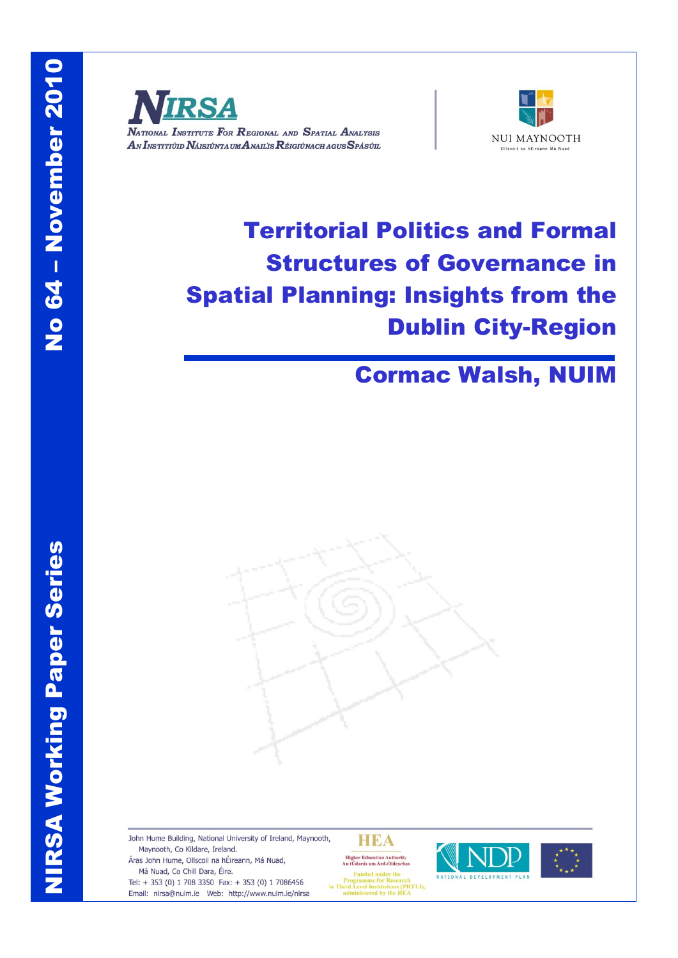NIRSA Working Paper Series

**NIRSA Working Paper Series** 



NATIONAL INSTITUTE FOR REGIONAL AND SPATIAL ANALYSIS AN INSTITIÚID NÁISIÚNTA UM ANAILIS RÉIGIÚNACH AGUS SPÁSÚIL



# Territorial Politics and Formal Structures of Governance in Spatial Planning: Insights from the Dublin City-Region

## Cormac Walsh, NUIM



John Hume Building, National University of Ireland, Maynooth, Maynooth, Co Kildare, Ireland. Áras John Hume, Ollscoil na hÉireann, Má Nuad, Má Nuad, Co Chill Dara, Éire. Frogramme for Research<br>in Third Level Institutions (PRTLI),<br>administered by the HEA

Tel: + 353 (0) 1 708 3350 Fax: + 353 (0) 1 7086456 Email: nirsa@nuim.ie Web: http://www.nuim.ie/nirsa

**HEA** Higher Education Authority<br>An tÚdarás um Ard-Oideachas



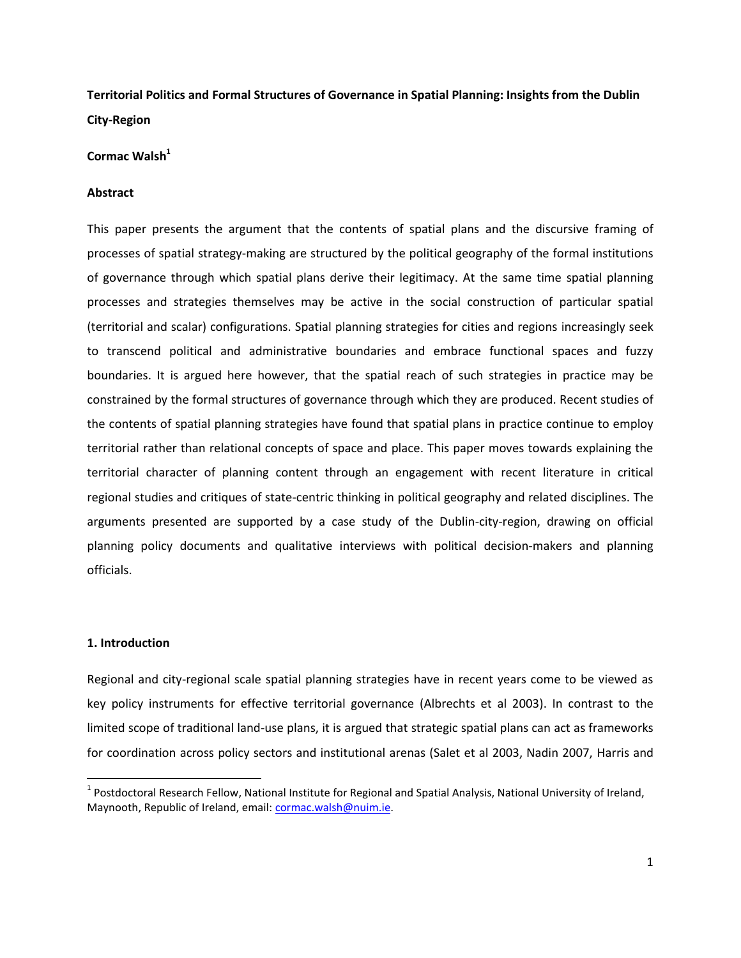**Territorial Politics and Formal Structures of Governance in Spatial Planning: Insights from the Dublin City-Region**

**Cormac Walsh<sup>1</sup>**

#### **Abstract**

This paper presents the argument that the contents of spatial plans and the discursive framing of processes of spatial strategy-making are structured by the political geography of the formal institutions of governance through which spatial plans derive their legitimacy. At the same time spatial planning processes and strategies themselves may be active in the social construction of particular spatial (territorial and scalar) configurations. Spatial planning strategies for cities and regions increasingly seek to transcend political and administrative boundaries and embrace functional spaces and fuzzy boundaries. It is argued here however, that the spatial reach of such strategies in practice may be constrained by the formal structures of governance through which they are produced. Recent studies of the contents of spatial planning strategies have found that spatial plans in practice continue to employ territorial rather than relational concepts of space and place. This paper moves towards explaining the territorial character of planning content through an engagement with recent literature in critical regional studies and critiques of state-centric thinking in political geography and related disciplines. The arguments presented are supported by a case study of the Dublin-city-region, drawing on official planning policy documents and qualitative interviews with political decision-makers and planning officials.

#### **1. Introduction**

 $\overline{a}$ 

Regional and city-regional scale spatial planning strategies have in recent years come to be viewed as key policy instruments for effective territorial governance (Albrechts et al 2003). In contrast to the limited scope of traditional land-use plans, it is argued that strategic spatial plans can act as frameworks for coordination across policy sectors and institutional arenas (Salet et al 2003, Nadin 2007, Harris and

<sup>&</sup>lt;sup>1</sup> Postdoctoral Research Fellow, National Institute for Regional and Spatial Analysis, National University of Ireland, Maynooth, Republic of Ireland, email: [cormac.walsh@nuim.ie.](mailto:cormac.walsh@nuim.ie)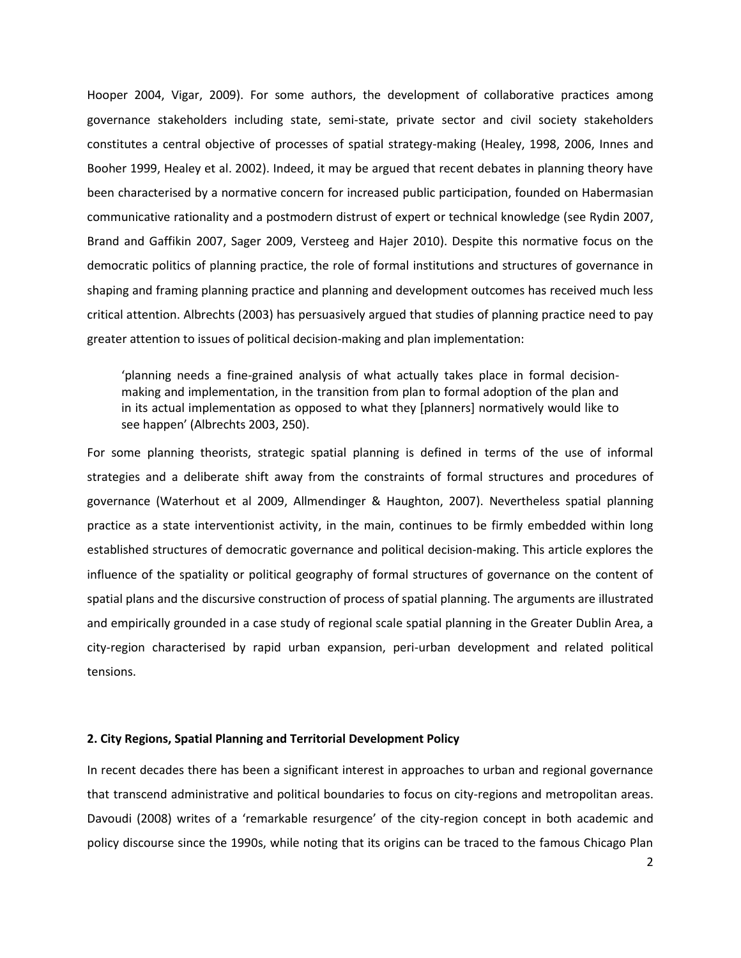Hooper 2004, Vigar, 2009). For some authors, the development of collaborative practices among governance stakeholders including state, semi-state, private sector and civil society stakeholders constitutes a central objective of processes of spatial strategy-making (Healey, 1998, 2006, Innes and Booher 1999, Healey et al. 2002). Indeed, it may be argued that recent debates in planning theory have been characterised by a normative concern for increased public participation, founded on Habermasian communicative rationality and a postmodern distrust of expert or technical knowledge (see Rydin 2007, Brand and Gaffikin 2007, Sager 2009, Versteeg and Hajer 2010). Despite this normative focus on the democratic politics of planning practice, the role of formal institutions and structures of governance in shaping and framing planning practice and planning and development outcomes has received much less critical attention. Albrechts (2003) has persuasively argued that studies of planning practice need to pay greater attention to issues of political decision-making and plan implementation:

'planning needs a fine-grained analysis of what actually takes place in formal decisionmaking and implementation, in the transition from plan to formal adoption of the plan and in its actual implementation as opposed to what they [planners] normatively would like to see happen' (Albrechts 2003, 250).

For some planning theorists, strategic spatial planning is defined in terms of the use of informal strategies and a deliberate shift away from the constraints of formal structures and procedures of governance (Waterhout et al 2009, Allmendinger & Haughton, 2007). Nevertheless spatial planning practice as a state interventionist activity, in the main, continues to be firmly embedded within long established structures of democratic governance and political decision-making. This article explores the influence of the spatiality or political geography of formal structures of governance on the content of spatial plans and the discursive construction of process of spatial planning. The arguments are illustrated and empirically grounded in a case study of regional scale spatial planning in the Greater Dublin Area, a city-region characterised by rapid urban expansion, peri-urban development and related political tensions.

#### **2. City Regions, Spatial Planning and Territorial Development Policy**

In recent decades there has been a significant interest in approaches to urban and regional governance that transcend administrative and political boundaries to focus on city-regions and metropolitan areas. Davoudi (2008) writes of a 'remarkable resurgence' of the city-region concept in both academic and policy discourse since the 1990s, while noting that its origins can be traced to the famous Chicago Plan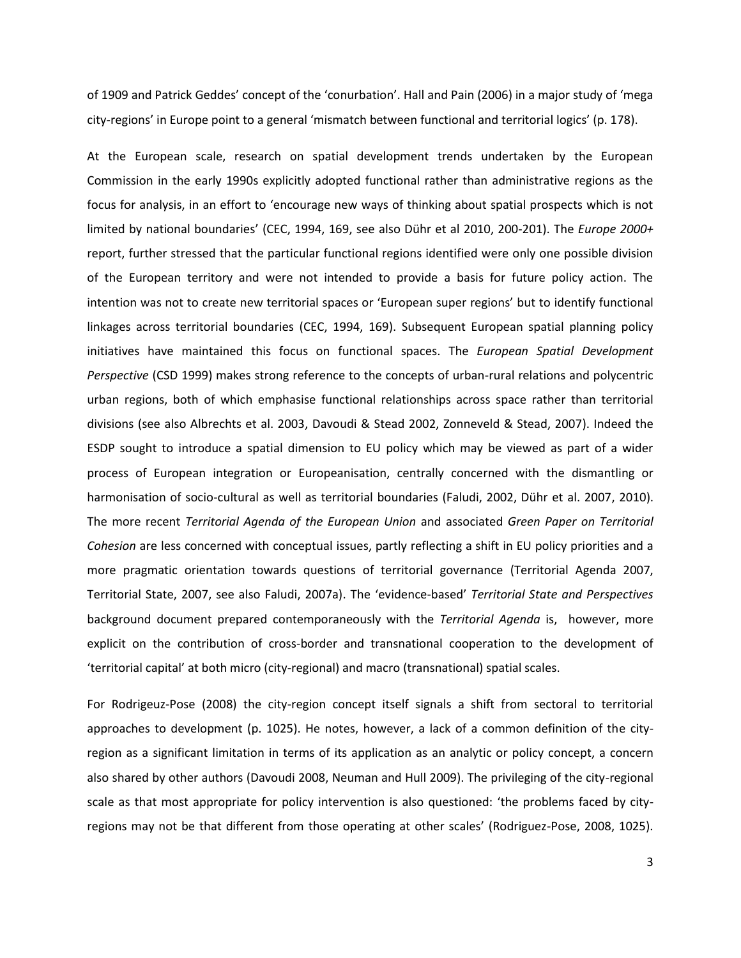of 1909 and Patrick Geddes' concept of the 'conurbation'. Hall and Pain (2006) in a major study of 'mega city-regions' in Europe point to a general 'mismatch between functional and territorial logics' (p. 178).

At the European scale, research on spatial development trends undertaken by the European Commission in the early 1990s explicitly adopted functional rather than administrative regions as the focus for analysis, in an effort to 'encourage new ways of thinking about spatial prospects which is not limited by national boundaries' (CEC, 1994, 169, see also Dühr et al 2010, 200-201). The *Europe 2000+*  report, further stressed that the particular functional regions identified were only one possible division of the European territory and were not intended to provide a basis for future policy action. The intention was not to create new territorial spaces or 'European super regions' but to identify functional linkages across territorial boundaries (CEC, 1994, 169). Subsequent European spatial planning policy initiatives have maintained this focus on functional spaces. The *European Spatial Development Perspective* (CSD 1999) makes strong reference to the concepts of urban-rural relations and polycentric urban regions, both of which emphasise functional relationships across space rather than territorial divisions (see also Albrechts et al. 2003, Davoudi & Stead 2002, Zonneveld & Stead, 2007). Indeed the ESDP sought to introduce a spatial dimension to EU policy which may be viewed as part of a wider process of European integration or Europeanisation, centrally concerned with the dismantling or harmonisation of socio-cultural as well as territorial boundaries (Faludi, 2002, Dühr et al. 2007, 2010). The more recent *Territorial Agenda of the European Union* and associated *Green Paper on Territorial Cohesion* are less concerned with conceptual issues, partly reflecting a shift in EU policy priorities and a more pragmatic orientation towards questions of territorial governance (Territorial Agenda 2007, Territorial State, 2007, see also Faludi, 2007a). The 'evidence-based' *Territorial State and Perspectives* background document prepared contemporaneously with the *Territorial Agenda* is, however, more explicit on the contribution of cross-border and transnational cooperation to the development of 'territorial capital' at both micro (city-regional) and macro (transnational) spatial scales.

For Rodrigeuz-Pose (2008) the city-region concept itself signals a shift from sectoral to territorial approaches to development (p. 1025). He notes, however, a lack of a common definition of the cityregion as a significant limitation in terms of its application as an analytic or policy concept, a concern also shared by other authors (Davoudi 2008, Neuman and Hull 2009). The privileging of the city-regional scale as that most appropriate for policy intervention is also questioned: 'the problems faced by cityregions may not be that different from those operating at other scales' (Rodriguez-Pose, 2008, 1025).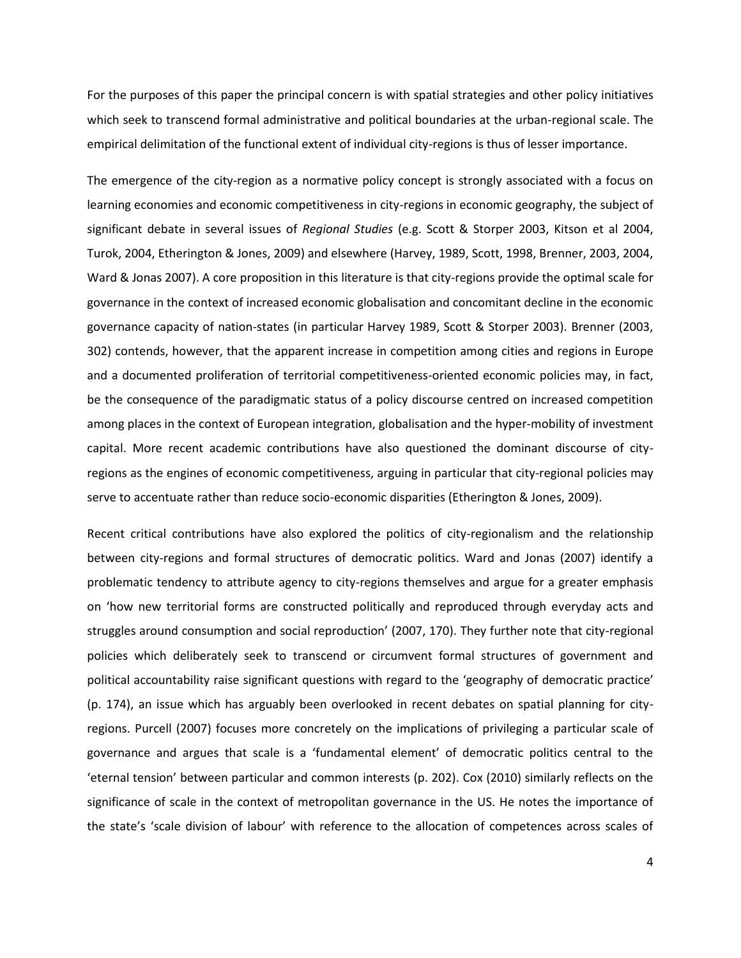For the purposes of this paper the principal concern is with spatial strategies and other policy initiatives which seek to transcend formal administrative and political boundaries at the urban-regional scale. The empirical delimitation of the functional extent of individual city-regions is thus of lesser importance.

The emergence of the city-region as a normative policy concept is strongly associated with a focus on learning economies and economic competitiveness in city-regions in economic geography, the subject of significant debate in several issues of *Regional Studies* (e.g. Scott & Storper 2003, Kitson et al 2004, Turok, 2004, Etherington & Jones, 2009) and elsewhere (Harvey, 1989, Scott, 1998, Brenner, 2003, 2004, Ward & Jonas 2007). A core proposition in this literature is that city-regions provide the optimal scale for governance in the context of increased economic globalisation and concomitant decline in the economic governance capacity of nation-states (in particular Harvey 1989, Scott & Storper 2003). Brenner (2003, 302) contends, however, that the apparent increase in competition among cities and regions in Europe and a documented proliferation of territorial competitiveness-oriented economic policies may, in fact, be the consequence of the paradigmatic status of a policy discourse centred on increased competition among places in the context of European integration, globalisation and the hyper-mobility of investment capital. More recent academic contributions have also questioned the dominant discourse of cityregions as the engines of economic competitiveness, arguing in particular that city-regional policies may serve to accentuate rather than reduce socio-economic disparities (Etherington & Jones, 2009).

Recent critical contributions have also explored the politics of city-regionalism and the relationship between city-regions and formal structures of democratic politics. Ward and Jonas (2007) identify a problematic tendency to attribute agency to city-regions themselves and argue for a greater emphasis on 'how new territorial forms are constructed politically and reproduced through everyday acts and struggles around consumption and social reproduction' (2007, 170). They further note that city-regional policies which deliberately seek to transcend or circumvent formal structures of government and political accountability raise significant questions with regard to the 'geography of democratic practice' (p. 174), an issue which has arguably been overlooked in recent debates on spatial planning for cityregions. Purcell (2007) focuses more concretely on the implications of privileging a particular scale of governance and argues that scale is a 'fundamental element' of democratic politics central to the 'eternal tension' between particular and common interests (p. 202). Cox (2010) similarly reflects on the significance of scale in the context of metropolitan governance in the US. He notes the importance of the state's 'scale division of labour' with reference to the allocation of competences across scales of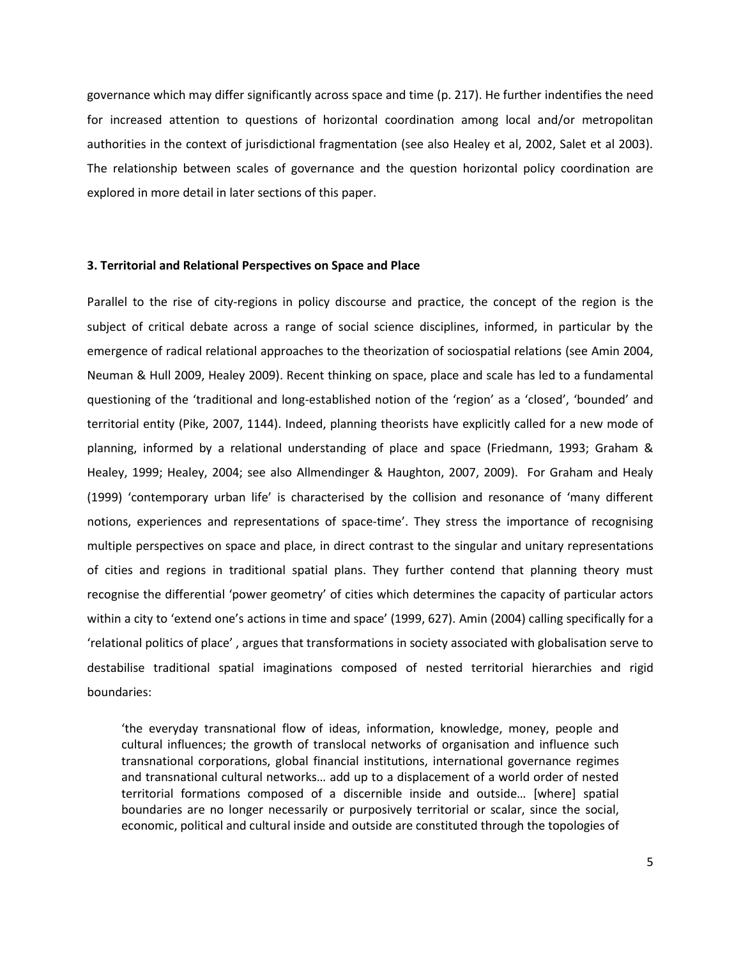governance which may differ significantly across space and time (p. 217). He further indentifies the need for increased attention to questions of horizontal coordination among local and/or metropolitan authorities in the context of jurisdictional fragmentation (see also Healey et al, 2002, Salet et al 2003). The relationship between scales of governance and the question horizontal policy coordination are explored in more detail in later sections of this paper.

#### **3. Territorial and Relational Perspectives on Space and Place**

Parallel to the rise of city-regions in policy discourse and practice, the concept of the region is the subject of critical debate across a range of social science disciplines, informed, in particular by the emergence of radical relational approaches to the theorization of sociospatial relations (see Amin 2004, Neuman & Hull 2009, Healey 2009). Recent thinking on space, place and scale has led to a fundamental questioning of the 'traditional and long-established notion of the 'region' as a 'closed', 'bounded' and territorial entity (Pike, 2007, 1144). Indeed, planning theorists have explicitly called for a new mode of planning, informed by a relational understanding of place and space (Friedmann, 1993; Graham & Healey, 1999; Healey, 2004; see also Allmendinger & Haughton, 2007, 2009). For Graham and Healy (1999) 'contemporary urban life' is characterised by the collision and resonance of 'many different notions, experiences and representations of space-time'. They stress the importance of recognising multiple perspectives on space and place, in direct contrast to the singular and unitary representations of cities and regions in traditional spatial plans. They further contend that planning theory must recognise the differential 'power geometry' of cities which determines the capacity of particular actors within a city to 'extend one's actions in time and space' (1999, 627). Amin (2004) calling specifically for a 'relational politics of place' , argues that transformations in society associated with globalisation serve to destabilise traditional spatial imaginations composed of nested territorial hierarchies and rigid boundaries:

'the everyday transnational flow of ideas, information, knowledge, money, people and cultural influences; the growth of translocal networks of organisation and influence such transnational corporations, global financial institutions, international governance regimes and transnational cultural networks… add up to a displacement of a world order of nested territorial formations composed of a discernible inside and outside... [where] spatial boundaries are no longer necessarily or purposively territorial or scalar, since the social, economic, political and cultural inside and outside are constituted through the topologies of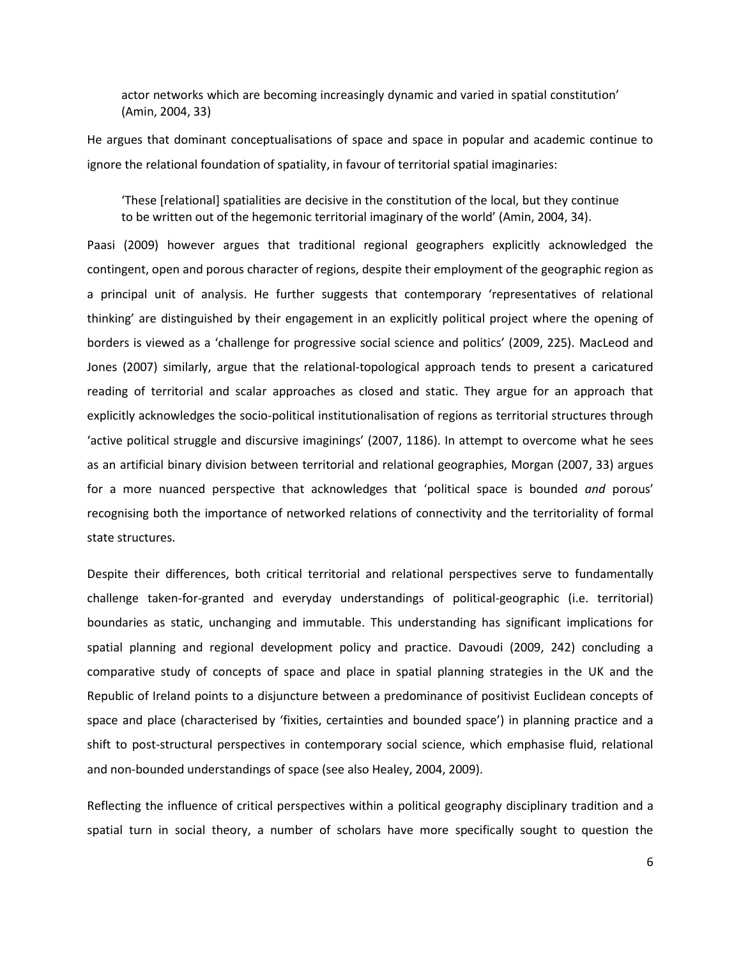actor networks which are becoming increasingly dynamic and varied in spatial constitution' (Amin, 2004, 33)

He argues that dominant conceptualisations of space and space in popular and academic continue to ignore the relational foundation of spatiality, in favour of territorial spatial imaginaries:

'These [relational] spatialities are decisive in the constitution of the local, but they continue to be written out of the hegemonic territorial imaginary of the world' (Amin, 2004, 34).

Paasi (2009) however argues that traditional regional geographers explicitly acknowledged the contingent, open and porous character of regions, despite their employment of the geographic region as a principal unit of analysis. He further suggests that contemporary 'representatives of relational thinking' are distinguished by their engagement in an explicitly political project where the opening of borders is viewed as a 'challenge for progressive social science and politics' (2009, 225). MacLeod and Jones (2007) similarly, argue that the relational-topological approach tends to present a caricatured reading of territorial and scalar approaches as closed and static. They argue for an approach that explicitly acknowledges the socio-political institutionalisation of regions as territorial structures through 'active political struggle and discursive imaginings' (2007, 1186). In attempt to overcome what he sees as an artificial binary division between territorial and relational geographies, Morgan (2007, 33) argues for a more nuanced perspective that acknowledges that 'political space is bounded *and* porous' recognising both the importance of networked relations of connectivity and the territoriality of formal state structures.

Despite their differences, both critical territorial and relational perspectives serve to fundamentally challenge taken-for-granted and everyday understandings of political-geographic (i.e. territorial) boundaries as static, unchanging and immutable. This understanding has significant implications for spatial planning and regional development policy and practice. Davoudi (2009, 242) concluding a comparative study of concepts of space and place in spatial planning strategies in the UK and the Republic of Ireland points to a disjuncture between a predominance of positivist Euclidean concepts of space and place (characterised by 'fixities, certainties and bounded space') in planning practice and a shift to post-structural perspectives in contemporary social science, which emphasise fluid, relational and non-bounded understandings of space (see also Healey, 2004, 2009).

Reflecting the influence of critical perspectives within a political geography disciplinary tradition and a spatial turn in social theory, a number of scholars have more specifically sought to question the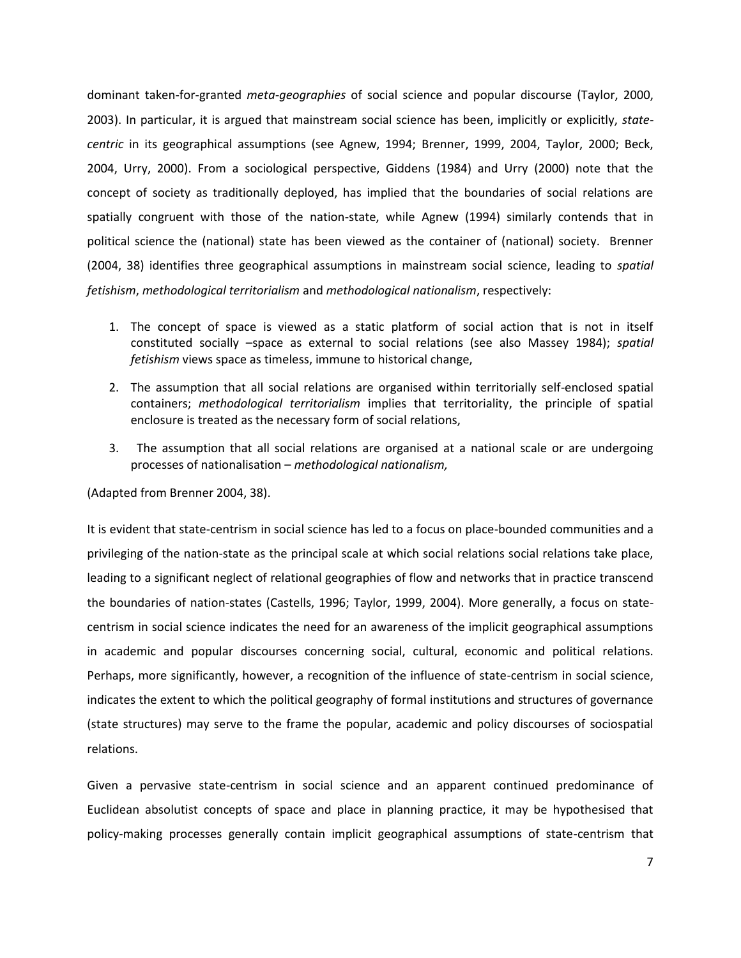dominant taken-for-granted *meta-geographies* of social science and popular discourse (Taylor, 2000, 2003). In particular, it is argued that mainstream social science has been, implicitly or explicitly, *statecentric* in its geographical assumptions (see Agnew, 1994; Brenner, 1999, 2004, Taylor, 2000; Beck, 2004, Urry, 2000). From a sociological perspective, Giddens (1984) and Urry (2000) note that the concept of society as traditionally deployed, has implied that the boundaries of social relations are spatially congruent with those of the nation-state, while Agnew (1994) similarly contends that in political science the (national) state has been viewed as the container of (national) society. Brenner (2004, 38) identifies three geographical assumptions in mainstream social science, leading to *spatial fetishism*, *methodological territorialism* and *methodological nationalism*, respectively:

- 1. The concept of space is viewed as a static platform of social action that is not in itself constituted socially –space as external to social relations (see also Massey 1984); *spatial fetishism* views space as timeless, immune to historical change,
- 2. The assumption that all social relations are organised within territorially self-enclosed spatial containers; *methodological territorialism* implies that territoriality, the principle of spatial enclosure is treated as the necessary form of social relations,
- 3. The assumption that all social relations are organised at a national scale or are undergoing processes of nationalisation – *methodological nationalism,*

(Adapted from Brenner 2004, 38).

It is evident that state-centrism in social science has led to a focus on place-bounded communities and a privileging of the nation-state as the principal scale at which social relations social relations take place, leading to a significant neglect of relational geographies of flow and networks that in practice transcend the boundaries of nation-states (Castells, 1996; Taylor, 1999, 2004). More generally, a focus on statecentrism in social science indicates the need for an awareness of the implicit geographical assumptions in academic and popular discourses concerning social, cultural, economic and political relations. Perhaps, more significantly, however, a recognition of the influence of state-centrism in social science, indicates the extent to which the political geography of formal institutions and structures of governance (state structures) may serve to the frame the popular, academic and policy discourses of sociospatial relations.

Given a pervasive state-centrism in social science and an apparent continued predominance of Euclidean absolutist concepts of space and place in planning practice, it may be hypothesised that policy-making processes generally contain implicit geographical assumptions of state-centrism that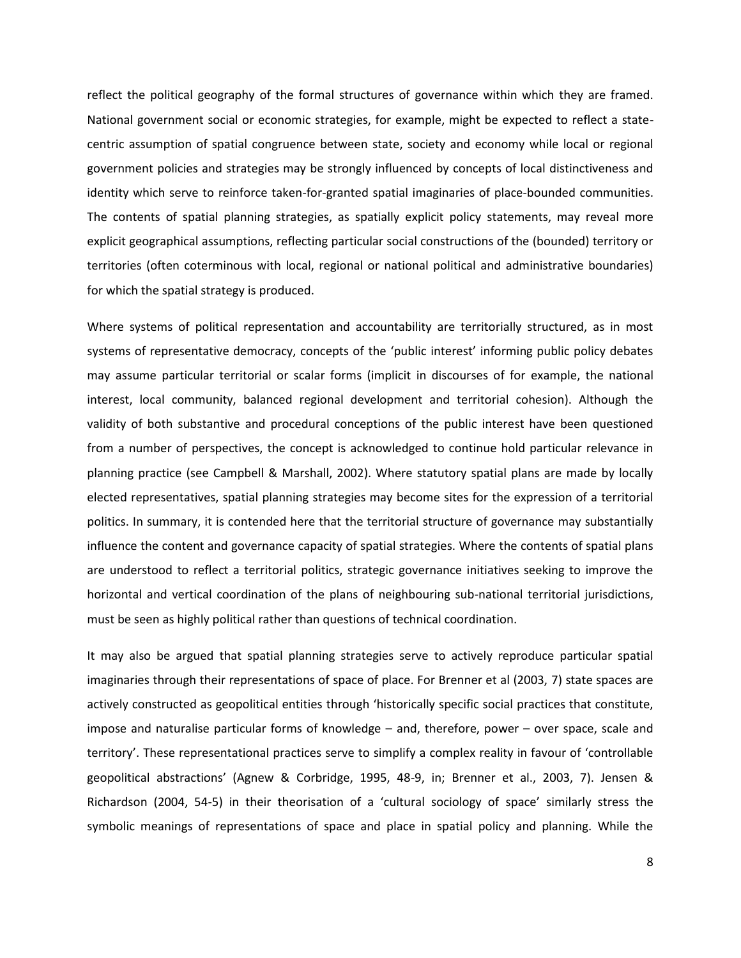reflect the political geography of the formal structures of governance within which they are framed. National government social or economic strategies, for example, might be expected to reflect a statecentric assumption of spatial congruence between state, society and economy while local or regional government policies and strategies may be strongly influenced by concepts of local distinctiveness and identity which serve to reinforce taken-for-granted spatial imaginaries of place-bounded communities. The contents of spatial planning strategies, as spatially explicit policy statements, may reveal more explicit geographical assumptions, reflecting particular social constructions of the (bounded) territory or territories (often coterminous with local, regional or national political and administrative boundaries) for which the spatial strategy is produced.

Where systems of political representation and accountability are territorially structured, as in most systems of representative democracy, concepts of the 'public interest' informing public policy debates may assume particular territorial or scalar forms (implicit in discourses of for example, the national interest, local community, balanced regional development and territorial cohesion). Although the validity of both substantive and procedural conceptions of the public interest have been questioned from a number of perspectives, the concept is acknowledged to continue hold particular relevance in planning practice (see Campbell & Marshall, 2002). Where statutory spatial plans are made by locally elected representatives, spatial planning strategies may become sites for the expression of a territorial politics. In summary, it is contended here that the territorial structure of governance may substantially influence the content and governance capacity of spatial strategies. Where the contents of spatial plans are understood to reflect a territorial politics, strategic governance initiatives seeking to improve the horizontal and vertical coordination of the plans of neighbouring sub-national territorial jurisdictions, must be seen as highly political rather than questions of technical coordination.

It may also be argued that spatial planning strategies serve to actively reproduce particular spatial imaginaries through their representations of space of place. For Brenner et al (2003, 7) state spaces are actively constructed as geopolitical entities through 'historically specific social practices that constitute, impose and naturalise particular forms of knowledge – and, therefore, power – over space, scale and territory'. These representational practices serve to simplify a complex reality in favour of 'controllable geopolitical abstractions' (Agnew & Corbridge, 1995, 48-9, in; Brenner et al., 2003, 7). Jensen & Richardson (2004, 54-5) in their theorisation of a 'cultural sociology of space' similarly stress the symbolic meanings of representations of space and place in spatial policy and planning. While the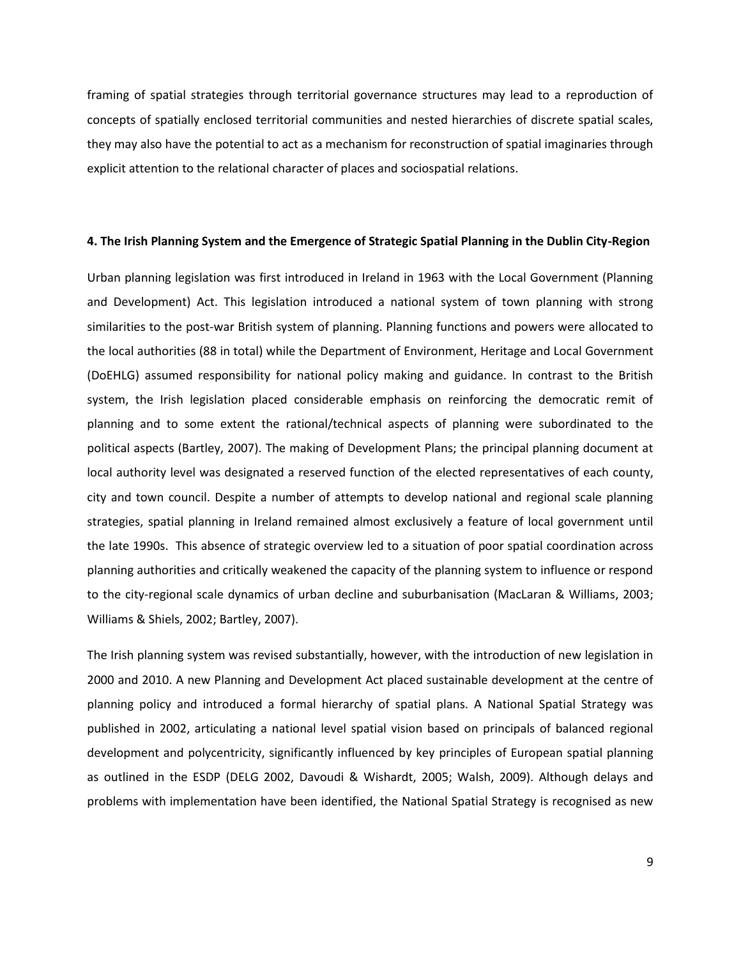framing of spatial strategies through territorial governance structures may lead to a reproduction of concepts of spatially enclosed territorial communities and nested hierarchies of discrete spatial scales, they may also have the potential to act as a mechanism for reconstruction of spatial imaginaries through explicit attention to the relational character of places and sociospatial relations.

#### **4. The Irish Planning System and the Emergence of Strategic Spatial Planning in the Dublin City-Region**

Urban planning legislation was first introduced in Ireland in 1963 with the Local Government (Planning and Development) Act. This legislation introduced a national system of town planning with strong similarities to the post-war British system of planning. Planning functions and powers were allocated to the local authorities (88 in total) while the Department of Environment, Heritage and Local Government (DoEHLG) assumed responsibility for national policy making and guidance. In contrast to the British system, the Irish legislation placed considerable emphasis on reinforcing the democratic remit of planning and to some extent the rational/technical aspects of planning were subordinated to the political aspects (Bartley, 2007). The making of Development Plans; the principal planning document at local authority level was designated a reserved function of the elected representatives of each county, city and town council. Despite a number of attempts to develop national and regional scale planning strategies, spatial planning in Ireland remained almost exclusively a feature of local government until the late 1990s. This absence of strategic overview led to a situation of poor spatial coordination across planning authorities and critically weakened the capacity of the planning system to influence or respond to the city-regional scale dynamics of urban decline and suburbanisation (MacLaran & Williams, 2003; Williams & Shiels, 2002; Bartley, 2007).

The Irish planning system was revised substantially, however, with the introduction of new legislation in 2000 and 2010. A new Planning and Development Act placed sustainable development at the centre of planning policy and introduced a formal hierarchy of spatial plans. A National Spatial Strategy was published in 2002, articulating a national level spatial vision based on principals of balanced regional development and polycentricity, significantly influenced by key principles of European spatial planning as outlined in the ESDP (DELG 2002, Davoudi & Wishardt, 2005; Walsh, 2009). Although delays and problems with implementation have been identified, the National Spatial Strategy is recognised as new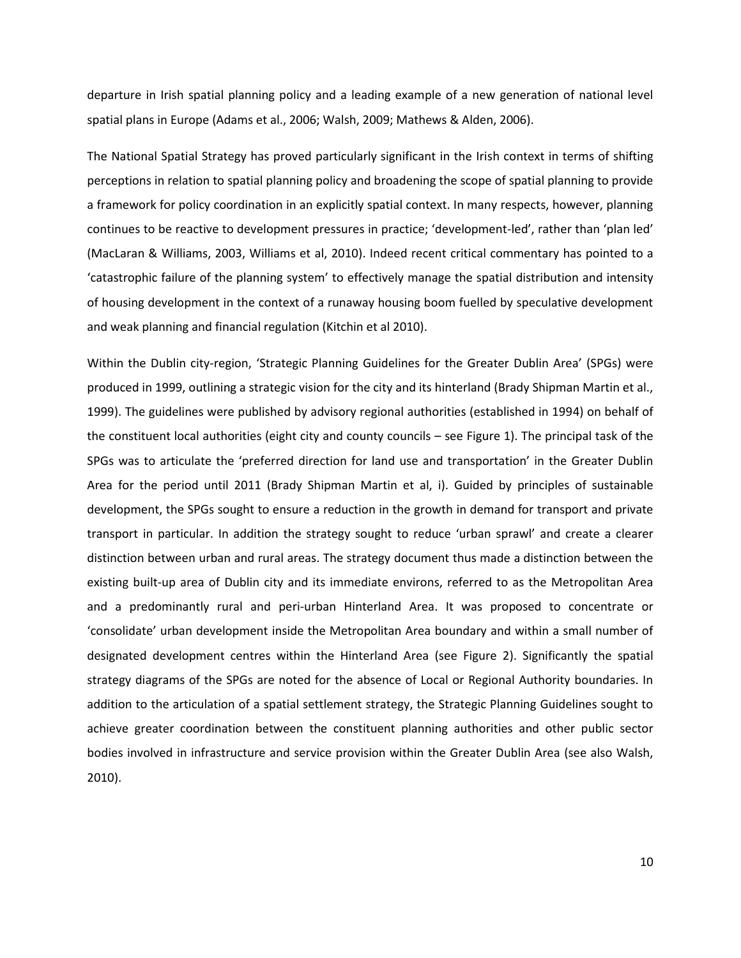departure in Irish spatial planning policy and a leading example of a new generation of national level spatial plans in Europe (Adams et al., 2006; Walsh, 2009; Mathews & Alden, 2006).

The National Spatial Strategy has proved particularly significant in the Irish context in terms of shifting perceptions in relation to spatial planning policy and broadening the scope of spatial planning to provide a framework for policy coordination in an explicitly spatial context. In many respects, however, planning continues to be reactive to development pressures in practice; 'development-led', rather than 'plan led' (MacLaran & Williams, 2003, Williams et al, 2010). Indeed recent critical commentary has pointed to a 'catastrophic failure of the planning system' to effectively manage the spatial distribution and intensity of housing development in the context of a runaway housing boom fuelled by speculative development and weak planning and financial regulation (Kitchin et al 2010).

Within the Dublin city-region, 'Strategic Planning Guidelines for the Greater Dublin Area' (SPGs) were produced in 1999, outlining a strategic vision for the city and its hinterland (Brady Shipman Martin et al., 1999). The guidelines were published by advisory regional authorities (established in 1994) on behalf of the constituent local authorities (eight city and county councils – see Figure 1). The principal task of the SPGs was to articulate the 'preferred direction for land use and transportation' in the Greater Dublin Area for the period until 2011 (Brady Shipman Martin et al, i). Guided by principles of sustainable development, the SPGs sought to ensure a reduction in the growth in demand for transport and private transport in particular. In addition the strategy sought to reduce 'urban sprawl' and create a clearer distinction between urban and rural areas. The strategy document thus made a distinction between the existing built-up area of Dublin city and its immediate environs, referred to as the Metropolitan Area and a predominantly rural and peri-urban Hinterland Area. It was proposed to concentrate or 'consolidate' urban development inside the Metropolitan Area boundary and within a small number of designated development centres within the Hinterland Area (see Figure 2). Significantly the spatial strategy diagrams of the SPGs are noted for the absence of Local or Regional Authority boundaries. In addition to the articulation of a spatial settlement strategy, the Strategic Planning Guidelines sought to achieve greater coordination between the constituent planning authorities and other public sector bodies involved in infrastructure and service provision within the Greater Dublin Area (see also Walsh, 2010).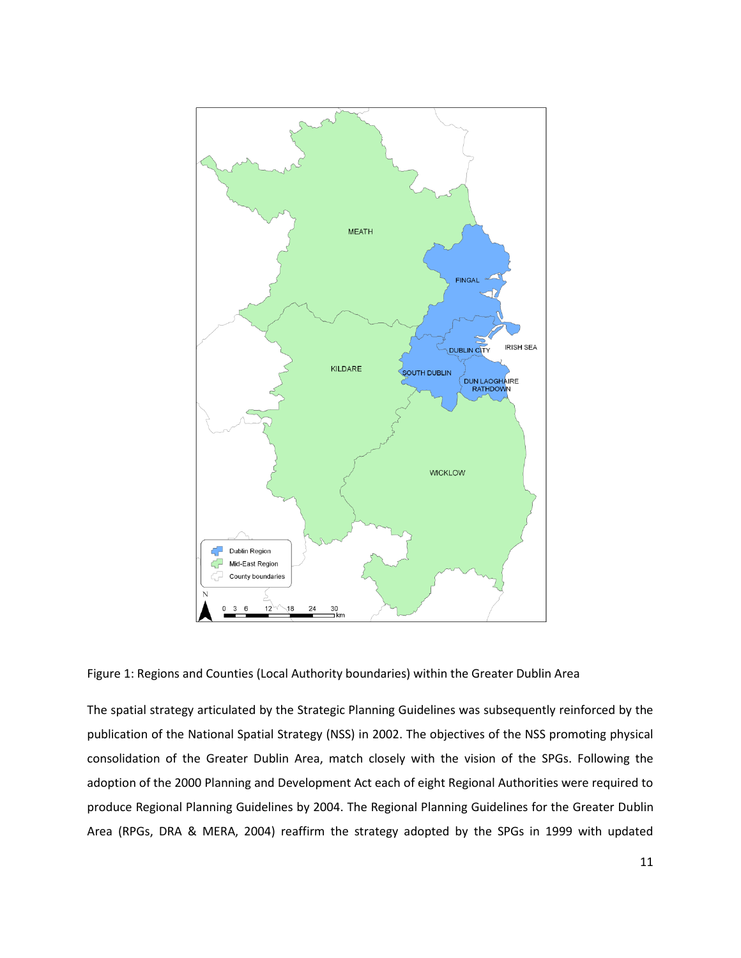

Figure 1: Regions and Counties (Local Authority boundaries) within the Greater Dublin Area

The spatial strategy articulated by the Strategic Planning Guidelines was subsequently reinforced by the publication of the National Spatial Strategy (NSS) in 2002. The objectives of the NSS promoting physical consolidation of the Greater Dublin Area, match closely with the vision of the SPGs. Following the adoption of the 2000 Planning and Development Act each of eight Regional Authorities were required to produce Regional Planning Guidelines by 2004. The Regional Planning Guidelines for the Greater Dublin Area (RPGs, DRA & MERA, 2004) reaffirm the strategy adopted by the SPGs in 1999 with updated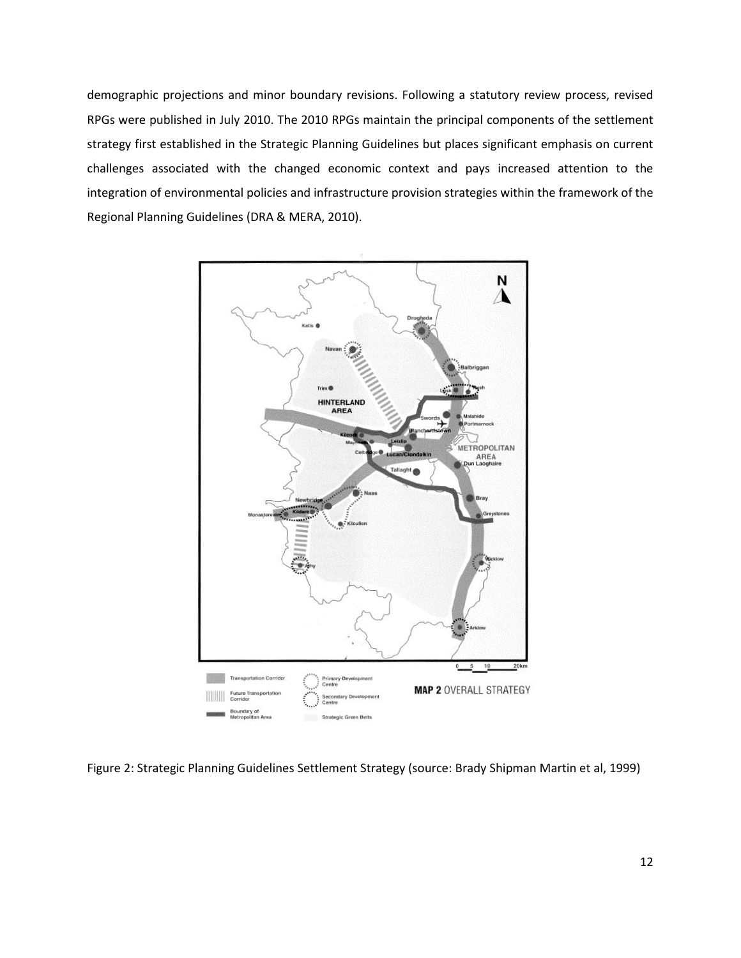demographic projections and minor boundary revisions. Following a statutory review process, revised RPGs were published in July 2010. The 2010 RPGs maintain the principal components of the settlement strategy first established in the Strategic Planning Guidelines but places significant emphasis on current challenges associated with the changed economic context and pays increased attention to the integration of environmental policies and infrastructure provision strategies within the framework of the Regional Planning Guidelines (DRA & MERA, 2010).



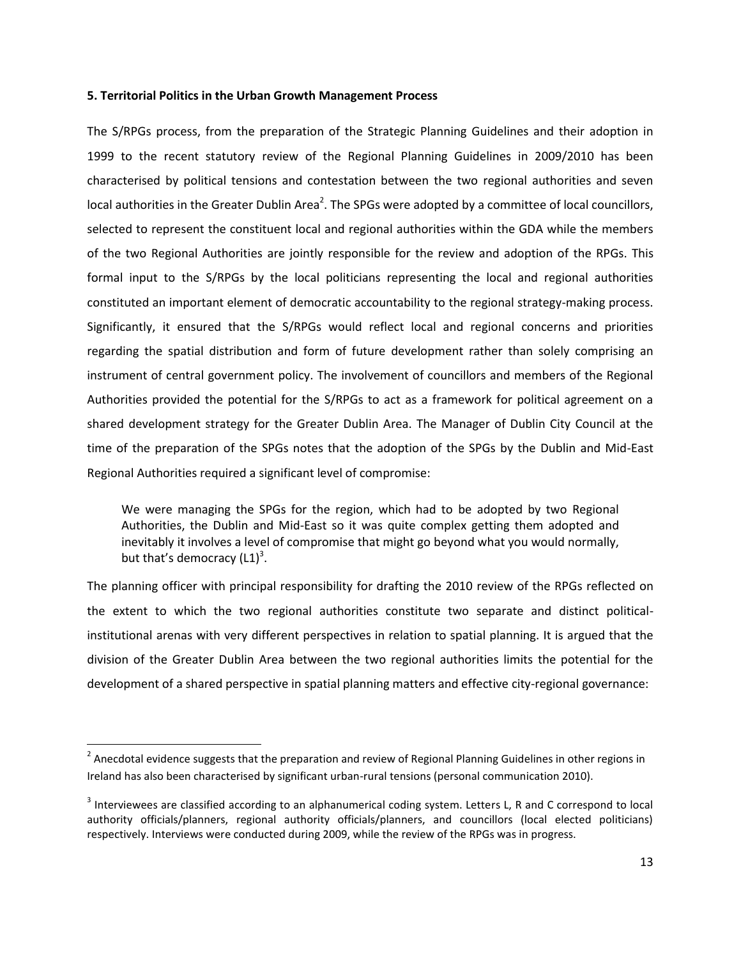#### **5. Territorial Politics in the Urban Growth Management Process**

The S/RPGs process, from the preparation of the Strategic Planning Guidelines and their adoption in 1999 to the recent statutory review of the Regional Planning Guidelines in 2009/2010 has been characterised by political tensions and contestation between the two regional authorities and seven local authorities in the Greater Dublin Area<sup>2</sup>. The SPGs were adopted by a committee of local councillors, selected to represent the constituent local and regional authorities within the GDA while the members of the two Regional Authorities are jointly responsible for the review and adoption of the RPGs. This formal input to the S/RPGs by the local politicians representing the local and regional authorities constituted an important element of democratic accountability to the regional strategy-making process. Significantly, it ensured that the S/RPGs would reflect local and regional concerns and priorities regarding the spatial distribution and form of future development rather than solely comprising an instrument of central government policy. The involvement of councillors and members of the Regional Authorities provided the potential for the S/RPGs to act as a framework for political agreement on a shared development strategy for the Greater Dublin Area. The Manager of Dublin City Council at the time of the preparation of the SPGs notes that the adoption of the SPGs by the Dublin and Mid-East Regional Authorities required a significant level of compromise:

We were managing the SPGs for the region, which had to be adopted by two Regional Authorities, the Dublin and Mid-East so it was quite complex getting them adopted and inevitably it involves a level of compromise that might go beyond what you would normally, but that's democracy  $(L1)<sup>3</sup>$ .

The planning officer with principal responsibility for drafting the 2010 review of the RPGs reflected on the extent to which the two regional authorities constitute two separate and distinct politicalinstitutional arenas with very different perspectives in relation to spatial planning. It is argued that the division of the Greater Dublin Area between the two regional authorities limits the potential for the development of a shared perspective in spatial planning matters and effective city-regional governance:

 $\overline{a}$ 

 $^2$  Anecdotal evidence suggests that the preparation and review of Regional Planning Guidelines in other regions in Ireland has also been characterised by significant urban-rural tensions (personal communication 2010).

 $3$  Interviewees are classified according to an alphanumerical coding system. Letters L, R and C correspond to local authority officials/planners, regional authority officials/planners, and councillors (local elected politicians) respectively. Interviews were conducted during 2009, while the review of the RPGs was in progress.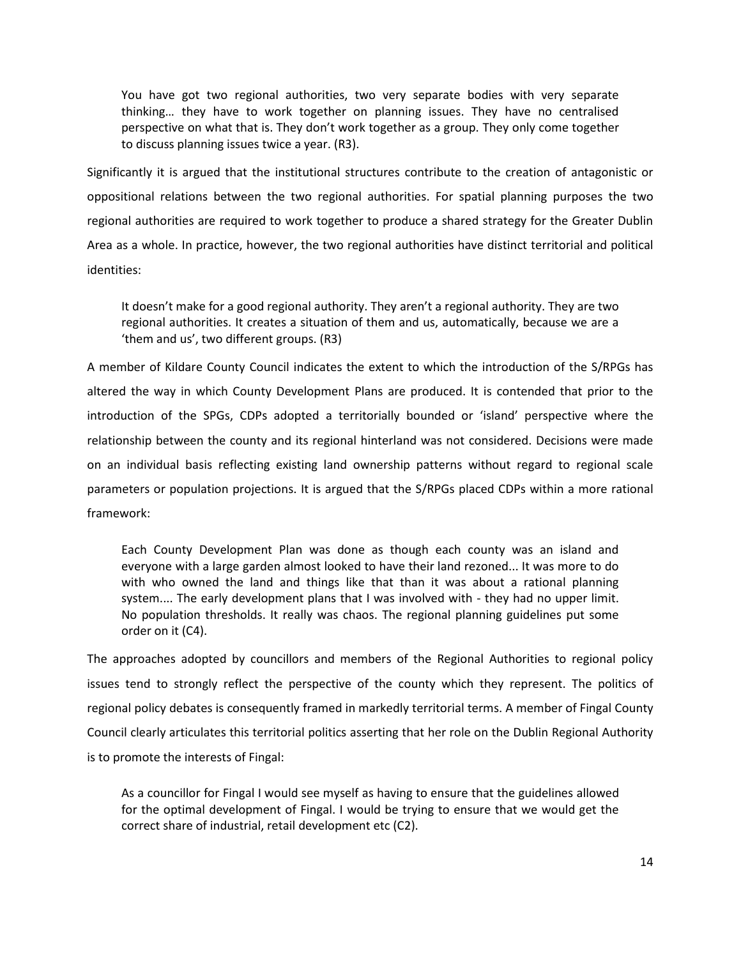You have got two regional authorities, two very separate bodies with very separate thinking… they have to work together on planning issues. They have no centralised perspective on what that is. They don't work together as a group. They only come together to discuss planning issues twice a year. (R3).

Significantly it is argued that the institutional structures contribute to the creation of antagonistic or oppositional relations between the two regional authorities. For spatial planning purposes the two regional authorities are required to work together to produce a shared strategy for the Greater Dublin Area as a whole. In practice, however, the two regional authorities have distinct territorial and political identities:

It doesn't make for a good regional authority. They aren't a regional authority. They are two regional authorities. It creates a situation of them and us, automatically, because we are a 'them and us', two different groups. (R3)

A member of Kildare County Council indicates the extent to which the introduction of the S/RPGs has altered the way in which County Development Plans are produced. It is contended that prior to the introduction of the SPGs, CDPs adopted a territorially bounded or 'island' perspective where the relationship between the county and its regional hinterland was not considered. Decisions were made on an individual basis reflecting existing land ownership patterns without regard to regional scale parameters or population projections. It is argued that the S/RPGs placed CDPs within a more rational framework:

Each County Development Plan was done as though each county was an island and everyone with a large garden almost looked to have their land rezoned... It was more to do with who owned the land and things like that than it was about a rational planning system.... The early development plans that I was involved with - they had no upper limit. No population thresholds. It really was chaos. The regional planning guidelines put some order on it (C4).

The approaches adopted by councillors and members of the Regional Authorities to regional policy issues tend to strongly reflect the perspective of the county which they represent. The politics of regional policy debates is consequently framed in markedly territorial terms. A member of Fingal County Council clearly articulates this territorial politics asserting that her role on the Dublin Regional Authority is to promote the interests of Fingal:

As a councillor for Fingal I would see myself as having to ensure that the guidelines allowed for the optimal development of Fingal. I would be trying to ensure that we would get the correct share of industrial, retail development etc (C2).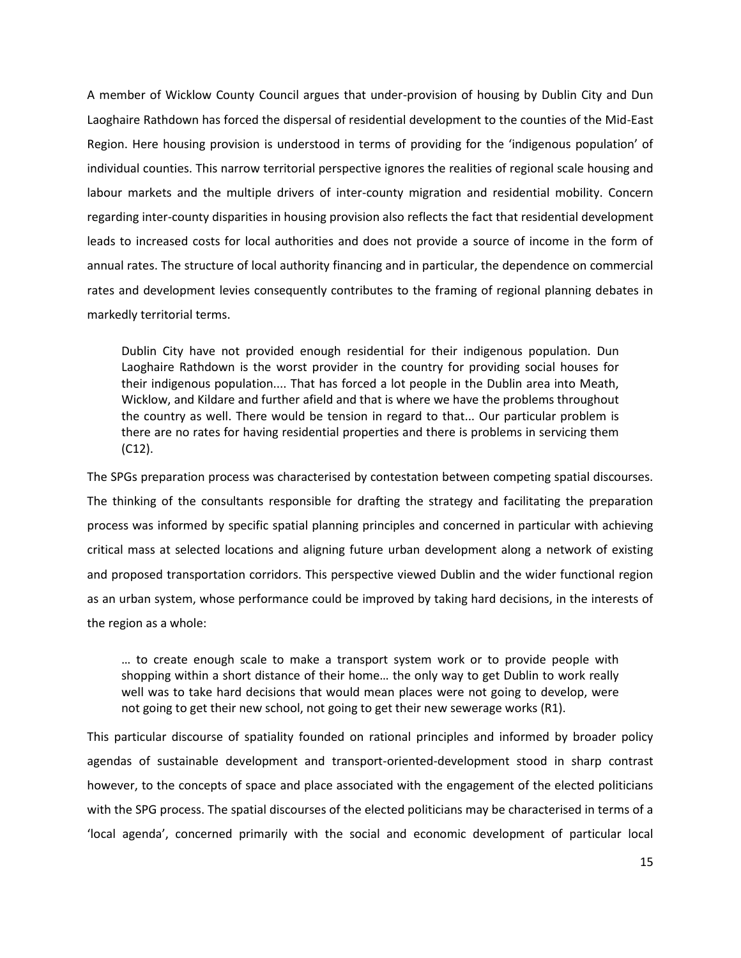A member of Wicklow County Council argues that under-provision of housing by Dublin City and Dun Laoghaire Rathdown has forced the dispersal of residential development to the counties of the Mid-East Region. Here housing provision is understood in terms of providing for the 'indigenous population' of individual counties. This narrow territorial perspective ignores the realities of regional scale housing and labour markets and the multiple drivers of inter-county migration and residential mobility. Concern regarding inter-county disparities in housing provision also reflects the fact that residential development leads to increased costs for local authorities and does not provide a source of income in the form of annual rates. The structure of local authority financing and in particular, the dependence on commercial rates and development levies consequently contributes to the framing of regional planning debates in markedly territorial terms.

Dublin City have not provided enough residential for their indigenous population. Dun Laoghaire Rathdown is the worst provider in the country for providing social houses for their indigenous population.... That has forced a lot people in the Dublin area into Meath, Wicklow, and Kildare and further afield and that is where we have the problems throughout the country as well. There would be tension in regard to that... Our particular problem is there are no rates for having residential properties and there is problems in servicing them (C12).

The SPGs preparation process was characterised by contestation between competing spatial discourses. The thinking of the consultants responsible for drafting the strategy and facilitating the preparation process was informed by specific spatial planning principles and concerned in particular with achieving critical mass at selected locations and aligning future urban development along a network of existing and proposed transportation corridors. This perspective viewed Dublin and the wider functional region as an urban system, whose performance could be improved by taking hard decisions, in the interests of the region as a whole:

… to create enough scale to make a transport system work or to provide people with shopping within a short distance of their home… the only way to get Dublin to work really well was to take hard decisions that would mean places were not going to develop, were not going to get their new school, not going to get their new sewerage works (R1).

This particular discourse of spatiality founded on rational principles and informed by broader policy agendas of sustainable development and transport-oriented-development stood in sharp contrast however, to the concepts of space and place associated with the engagement of the elected politicians with the SPG process. The spatial discourses of the elected politicians may be characterised in terms of a 'local agenda', concerned primarily with the social and economic development of particular local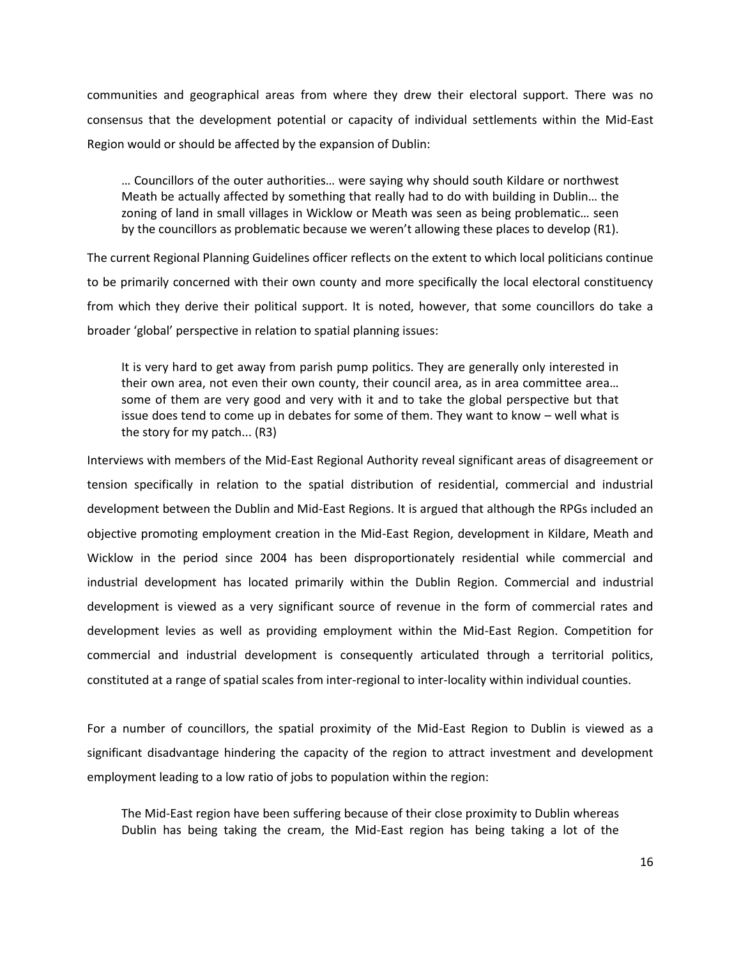communities and geographical areas from where they drew their electoral support. There was no consensus that the development potential or capacity of individual settlements within the Mid-East Region would or should be affected by the expansion of Dublin:

… Councillors of the outer authorities… were saying why should south Kildare or northwest Meath be actually affected by something that really had to do with building in Dublin… the zoning of land in small villages in Wicklow or Meath was seen as being problematic… seen by the councillors as problematic because we weren't allowing these places to develop (R1).

The current Regional Planning Guidelines officer reflects on the extent to which local politicians continue to be primarily concerned with their own county and more specifically the local electoral constituency from which they derive their political support. It is noted, however, that some councillors do take a broader 'global' perspective in relation to spatial planning issues:

It is very hard to get away from parish pump politics. They are generally only interested in their own area, not even their own county, their council area, as in area committee area… some of them are very good and very with it and to take the global perspective but that issue does tend to come up in debates for some of them. They want to know – well what is the story for my patch... (R3)

Interviews with members of the Mid-East Regional Authority reveal significant areas of disagreement or tension specifically in relation to the spatial distribution of residential, commercial and industrial development between the Dublin and Mid-East Regions. It is argued that although the RPGs included an objective promoting employment creation in the Mid-East Region, development in Kildare, Meath and Wicklow in the period since 2004 has been disproportionately residential while commercial and industrial development has located primarily within the Dublin Region. Commercial and industrial development is viewed as a very significant source of revenue in the form of commercial rates and development levies as well as providing employment within the Mid-East Region. Competition for commercial and industrial development is consequently articulated through a territorial politics, constituted at a range of spatial scales from inter-regional to inter-locality within individual counties.

For a number of councillors, the spatial proximity of the Mid-East Region to Dublin is viewed as a significant disadvantage hindering the capacity of the region to attract investment and development employment leading to a low ratio of jobs to population within the region:

The Mid-East region have been suffering because of their close proximity to Dublin whereas Dublin has being taking the cream, the Mid-East region has being taking a lot of the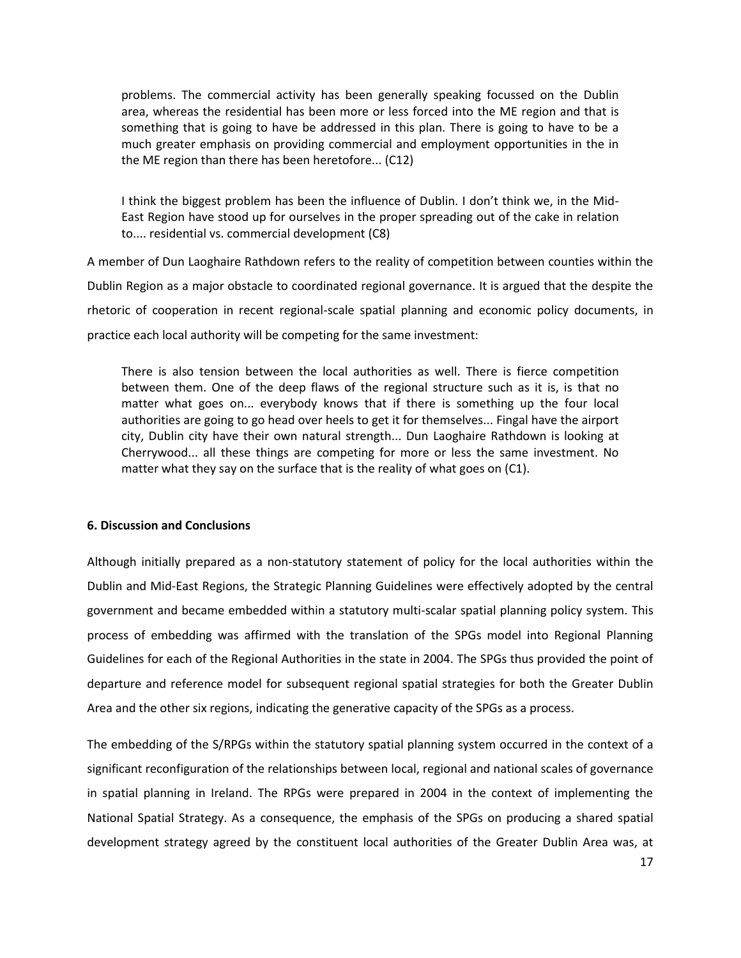problems. The commercial activity has been generally speaking focussed on the Dublin area, whereas the residential has been more or less forced into the ME region and that is something that is going to have be addressed in this plan. There is going to have to be a much greater emphasis on providing commercial and employment opportunities in the in the ME region than there has been heretofore... (C12)

I think the biggest problem has been the influence of Dublin. I don't think we, in the Mid-East Region have stood up for ourselves in the proper spreading out of the cake in relation to.... residential vs. commercial development (C8)

A member of Dun Laoghaire Rathdown refers to the reality of competition between counties within the Dublin Region as a major obstacle to coordinated regional governance. It is argued that the despite the rhetoric of cooperation in recent regional-scale spatial planning and economic policy documents, in practice each local authority will be competing for the same investment:

There is also tension between the local authorities as well. There is fierce competition between them. One of the deep flaws of the regional structure such as it is, is that no matter what goes on... everybody knows that if there is something up the four local authorities are going to go head over heels to get it for themselves... Fingal have the airport city, Dublin city have their own natural strength... Dun Laoghaire Rathdown is looking at Cherrywood... all these things are competing for more or less the same investment. No matter what they say on the surface that is the reality of what goes on (C1).

#### **6. Discussion and Conclusions**

Although initially prepared as a non-statutory statement of policy for the local authorities within the Dublin and Mid-East Regions, the Strategic Planning Guidelines were effectively adopted by the central government and became embedded within a statutory multi-scalar spatial planning policy system. This process of embedding was affirmed with the translation of the SPGs model into Regional Planning Guidelines for each of the Regional Authorities in the state in 2004. The SPGs thus provided the point of departure and reference model for subsequent regional spatial strategies for both the Greater Dublin Area and the other six regions, indicating the generative capacity of the SPGs as a process.

The embedding of the S/RPGs within the statutory spatial planning system occurred in the context of a significant reconfiguration of the relationships between local, regional and national scales of governance in spatial planning in Ireland. The RPGs were prepared in 2004 in the context of implementing the National Spatial Strategy. As a consequence, the emphasis of the SPGs on producing a shared spatial development strategy agreed by the constituent local authorities of the Greater Dublin Area was, at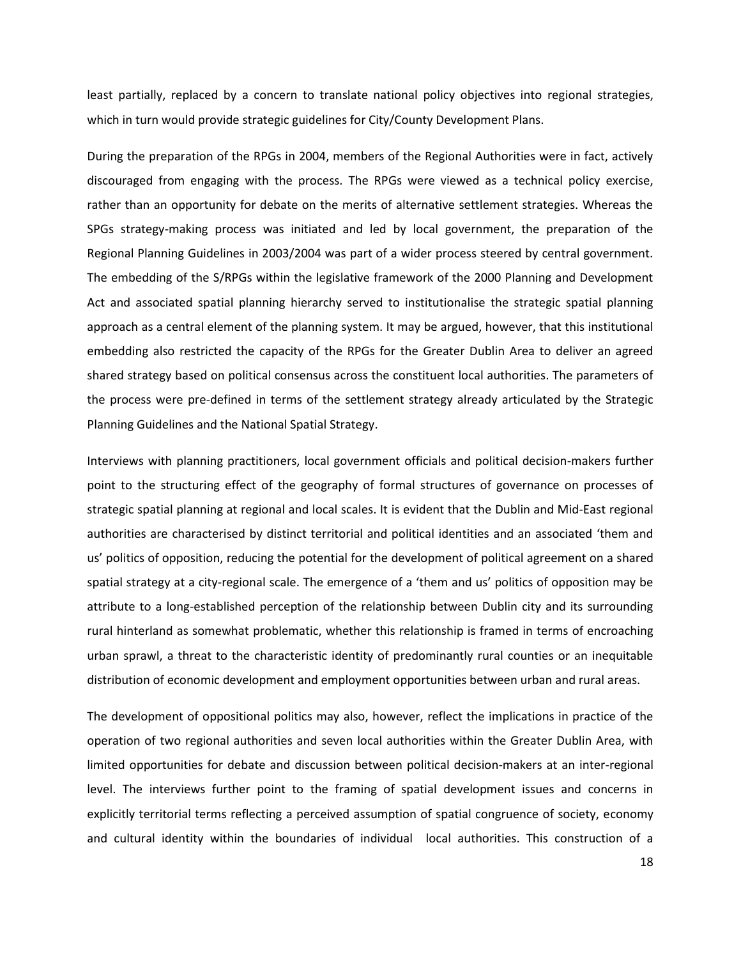least partially, replaced by a concern to translate national policy objectives into regional strategies, which in turn would provide strategic guidelines for City/County Development Plans.

During the preparation of the RPGs in 2004, members of the Regional Authorities were in fact, actively discouraged from engaging with the process. The RPGs were viewed as a technical policy exercise, rather than an opportunity for debate on the merits of alternative settlement strategies. Whereas the SPGs strategy-making process was initiated and led by local government, the preparation of the Regional Planning Guidelines in 2003/2004 was part of a wider process steered by central government. The embedding of the S/RPGs within the legislative framework of the 2000 Planning and Development Act and associated spatial planning hierarchy served to institutionalise the strategic spatial planning approach as a central element of the planning system. It may be argued, however, that this institutional embedding also restricted the capacity of the RPGs for the Greater Dublin Area to deliver an agreed shared strategy based on political consensus across the constituent local authorities. The parameters of the process were pre-defined in terms of the settlement strategy already articulated by the Strategic Planning Guidelines and the National Spatial Strategy.

Interviews with planning practitioners, local government officials and political decision-makers further point to the structuring effect of the geography of formal structures of governance on processes of strategic spatial planning at regional and local scales. It is evident that the Dublin and Mid-East regional authorities are characterised by distinct territorial and political identities and an associated 'them and us' politics of opposition, reducing the potential for the development of political agreement on a shared spatial strategy at a city-regional scale. The emergence of a 'them and us' politics of opposition may be attribute to a long-established perception of the relationship between Dublin city and its surrounding rural hinterland as somewhat problematic, whether this relationship is framed in terms of encroaching urban sprawl, a threat to the characteristic identity of predominantly rural counties or an inequitable distribution of economic development and employment opportunities between urban and rural areas.

The development of oppositional politics may also, however, reflect the implications in practice of the operation of two regional authorities and seven local authorities within the Greater Dublin Area, with limited opportunities for debate and discussion between political decision-makers at an inter-regional level. The interviews further point to the framing of spatial development issues and concerns in explicitly territorial terms reflecting a perceived assumption of spatial congruence of society, economy and cultural identity within the boundaries of individual local authorities. This construction of a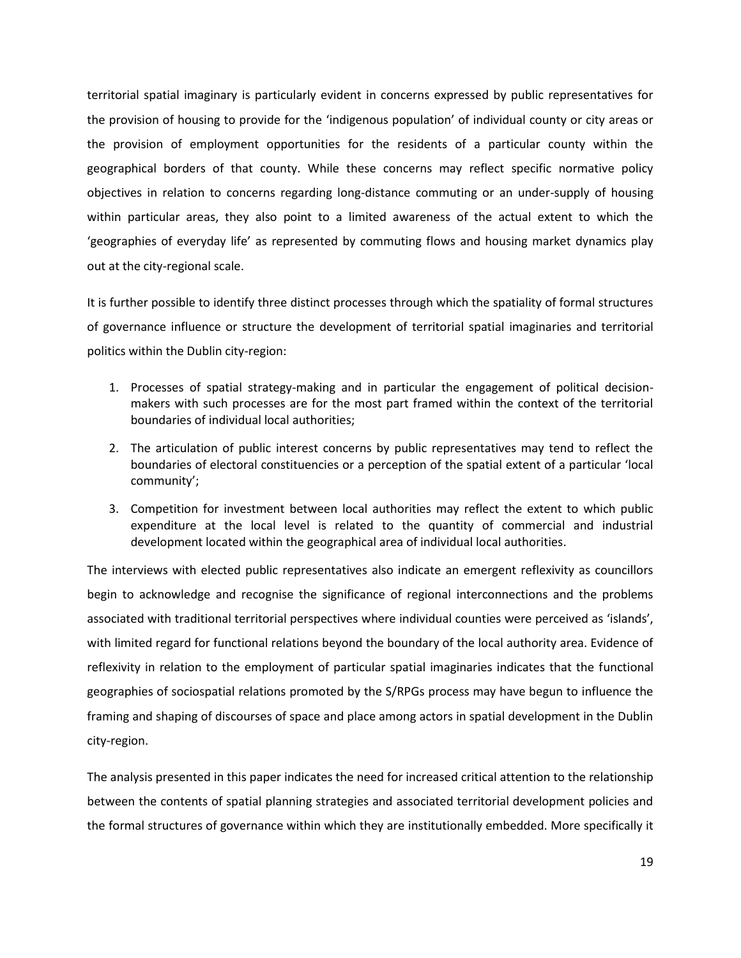territorial spatial imaginary is particularly evident in concerns expressed by public representatives for the provision of housing to provide for the 'indigenous population' of individual county or city areas or the provision of employment opportunities for the residents of a particular county within the geographical borders of that county. While these concerns may reflect specific normative policy objectives in relation to concerns regarding long-distance commuting or an under-supply of housing within particular areas, they also point to a limited awareness of the actual extent to which the 'geographies of everyday life' as represented by commuting flows and housing market dynamics play out at the city-regional scale.

It is further possible to identify three distinct processes through which the spatiality of formal structures of governance influence or structure the development of territorial spatial imaginaries and territorial politics within the Dublin city-region:

- 1. Processes of spatial strategy-making and in particular the engagement of political decisionmakers with such processes are for the most part framed within the context of the territorial boundaries of individual local authorities;
- 2. The articulation of public interest concerns by public representatives may tend to reflect the boundaries of electoral constituencies or a perception of the spatial extent of a particular 'local community';
- 3. Competition for investment between local authorities may reflect the extent to which public expenditure at the local level is related to the quantity of commercial and industrial development located within the geographical area of individual local authorities.

The interviews with elected public representatives also indicate an emergent reflexivity as councillors begin to acknowledge and recognise the significance of regional interconnections and the problems associated with traditional territorial perspectives where individual counties were perceived as 'islands', with limited regard for functional relations beyond the boundary of the local authority area. Evidence of reflexivity in relation to the employment of particular spatial imaginaries indicates that the functional geographies of sociospatial relations promoted by the S/RPGs process may have begun to influence the framing and shaping of discourses of space and place among actors in spatial development in the Dublin city-region.

The analysis presented in this paper indicates the need for increased critical attention to the relationship between the contents of spatial planning strategies and associated territorial development policies and the formal structures of governance within which they are institutionally embedded. More specifically it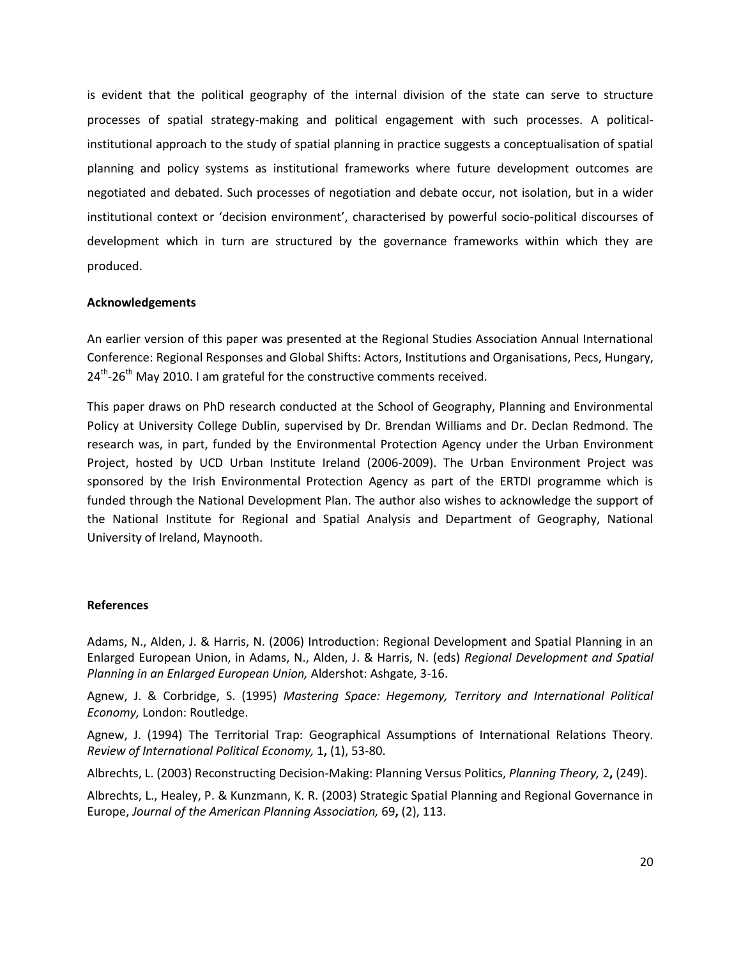is evident that the political geography of the internal division of the state can serve to structure processes of spatial strategy-making and political engagement with such processes. A politicalinstitutional approach to the study of spatial planning in practice suggests a conceptualisation of spatial planning and policy systems as institutional frameworks where future development outcomes are negotiated and debated. Such processes of negotiation and debate occur, not isolation, but in a wider institutional context or 'decision environment', characterised by powerful socio-political discourses of development which in turn are structured by the governance frameworks within which they are produced.

### **Acknowledgements**

An earlier version of this paper was presented at the Regional Studies Association Annual International Conference: Regional Responses and Global Shifts: Actors, Institutions and Organisations, Pecs, Hungary, 24<sup>th</sup>-26<sup>th</sup> May 2010. I am grateful for the constructive comments received.

This paper draws on PhD research conducted at the School of Geography, Planning and Environmental Policy at University College Dublin, supervised by Dr. Brendan Williams and Dr. Declan Redmond. The research was, in part, funded by the Environmental Protection Agency under the Urban Environment Project, hosted by UCD Urban Institute Ireland (2006-2009). The Urban Environment Project was sponsored by the Irish Environmental Protection Agency as part of the ERTDI programme which is funded through the National Development Plan. The author also wishes to acknowledge the support of the National Institute for Regional and Spatial Analysis and Department of Geography, National University of Ireland, Maynooth.

#### **References**

Adams, N., Alden, J. & Harris, N. (2006) Introduction: Regional Development and Spatial Planning in an Enlarged European Union, in Adams, N., Alden, J. & Harris, N. (eds) *Regional Development and Spatial Planning in an Enlarged European Union,* Aldershot: Ashgate, 3-16.

Agnew, J. & Corbridge, S. (1995) *Mastering Space: Hegemony, Territory and International Political Economy,* London: Routledge.

Agnew, J. (1994) The Territorial Trap: Geographical Assumptions of International Relations Theory. *Review of International Political Economy,* 1**,** (1), 53-80.

Albrechts, L. (2003) Reconstructing Decision-Making: Planning Versus Politics, *Planning Theory,* 2**,** (249).

Albrechts, L., Healey, P. & Kunzmann, K. R. (2003) Strategic Spatial Planning and Regional Governance in Europe, *Journal of the American Planning Association,* 69**,** (2), 113.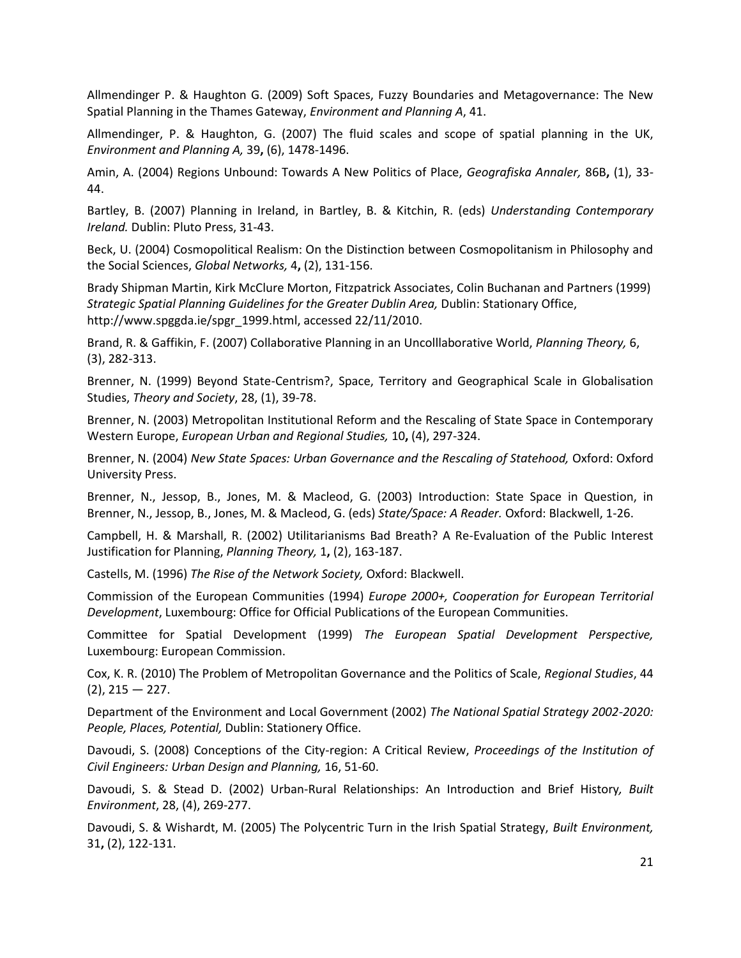Allmendinger P. & Haughton G. (2009) Soft Spaces, Fuzzy Boundaries and Metagovernance: The New Spatial Planning in the Thames Gateway, *Environment and Planning A*, 41.

Allmendinger, P. & Haughton, G. (2007) The fluid scales and scope of spatial planning in the UK, *Environment and Planning A,* 39**,** (6), 1478-1496.

Amin, A. (2004) Regions Unbound: Towards A New Politics of Place, *Geografiska Annaler,* 86B**,** (1), 33- 44.

Bartley, B. (2007) Planning in Ireland, in Bartley, B. & Kitchin, R. (eds) *Understanding Contemporary Ireland.* Dublin: Pluto Press, 31-43.

Beck, U. (2004) Cosmopolitical Realism: On the Distinction between Cosmopolitanism in Philosophy and the Social Sciences, *Global Networks,* 4**,** (2), 131-156.

Brady Shipman Martin, Kirk McClure Morton, Fitzpatrick Associates, Colin Buchanan and Partners (1999) *Strategic Spatial Planning Guidelines for the Greater Dublin Area,* Dublin: Stationary Office, http://www.spggda.ie/spgr\_1999.html, accessed 22/11/2010.

Brand, R. & Gaffikin, F. (2007) Collaborative Planning in an Uncolllaborative World, *Planning Theory,* 6, (3), 282-313.

Brenner, N. (1999) Beyond State-Centrism?, Space, Territory and Geographical Scale in Globalisation Studies, *Theory and Society*, 28, (1), 39-78.

Brenner, N. (2003) Metropolitan Institutional Reform and the Rescaling of State Space in Contemporary Western Europe, *European Urban and Regional Studies,* 10**,** (4), 297-324.

Brenner, N. (2004) *New State Spaces: Urban Governance and the Rescaling of Statehood, Oxford: Oxford* University Press.

Brenner, N., Jessop, B., Jones, M. & Macleod, G. (2003) Introduction: State Space in Question, in Brenner, N., Jessop, B., Jones, M. & Macleod, G. (eds) *State/Space: A Reader.* Oxford: Blackwell, 1-26.

Campbell, H. & Marshall, R. (2002) Utilitarianisms Bad Breath? A Re-Evaluation of the Public Interest Justification for Planning, *Planning Theory,* 1**,** (2), 163-187.

Castells, M. (1996) *The Rise of the Network Society,* Oxford: Blackwell.

Commission of the European Communities (1994) *Europe 2000+, Cooperation for European Territorial Development*, Luxembourg: Office for Official Publications of the European Communities.

Committee for Spatial Development (1999) *The European Spatial Development Perspective,*  Luxembourg: European Commission.

Cox, K. R. (2010) The Problem of Metropolitan Governance and the Politics of Scale, *Regional Studies*, 44  $(2)$ , 215 – 227.

Department of the Environment and Local Government (2002) *The National Spatial Strategy 2002-2020: People, Places, Potential,* Dublin: Stationery Office.

Davoudi, S. (2008) Conceptions of the City-region: A Critical Review, *Proceedings of the Institution of Civil Engineers: Urban Design and Planning,* 16, 51-60.

Davoudi, S. & Stead D. (2002) Urban-Rural Relationships: An Introduction and Brief History*, Built Environment*, 28, (4), 269-277.

Davoudi, S. & Wishardt, M. (2005) The Polycentric Turn in the Irish Spatial Strategy, *Built Environment,* 31**,** (2), 122-131.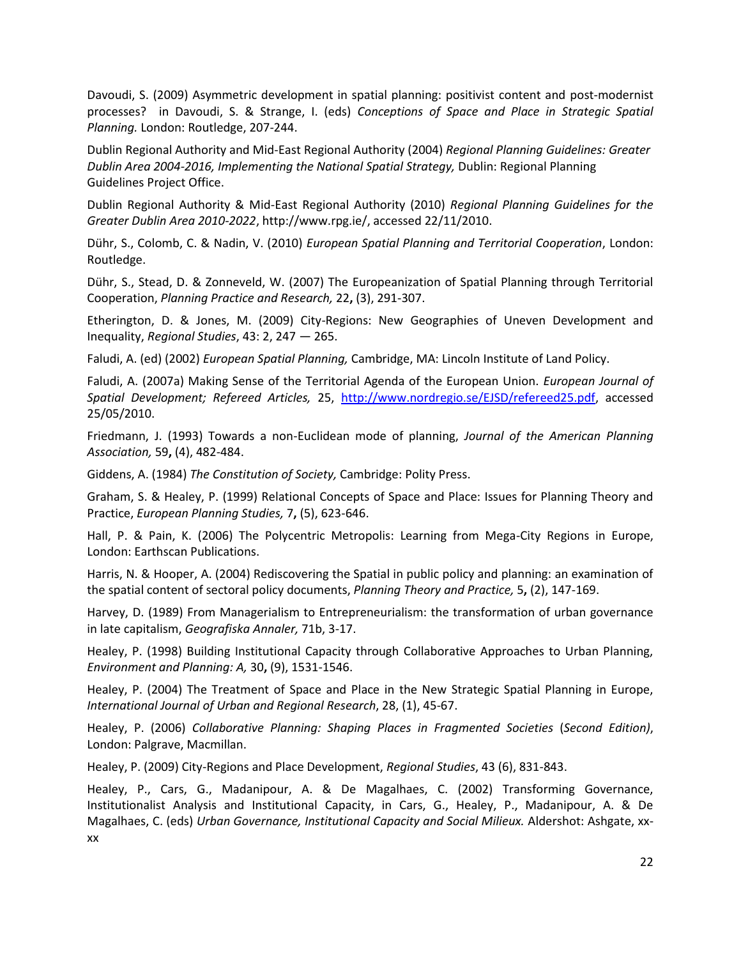Davoudi, S. (2009) Asymmetric development in spatial planning: positivist content and post-modernist processes? in Davoudi, S. & Strange, I. (eds) *Conceptions of Space and Place in Strategic Spatial Planning.* London: Routledge, 207-244.

Dublin Regional Authority and Mid-East Regional Authority (2004) *Regional Planning Guidelines: Greater Dublin Area 2004-2016, Implementing the National Spatial Strategy,* Dublin: Regional Planning Guidelines Project Office.

Dublin Regional Authority & Mid-East Regional Authority (2010) *Regional Planning Guidelines for the Greater Dublin Area 2010-2022*, http://www.rpg.ie/, accessed 22/11/2010.

Dühr, S., Colomb, C. & Nadin, V. (2010) *European Spatial Planning and Territorial Cooperation*, London: Routledge.

Dühr, S., Stead, D. & Zonneveld, W. (2007) The Europeanization of Spatial Planning through Territorial Cooperation, *Planning Practice and Research,* 22**,** (3), 291-307.

Etherington, D. & Jones, M. (2009) City-Regions: New Geographies of Uneven Development and Inequality, *Regional Studies*, 43: 2, 247 — 265.

Faludi, A. (ed) (2002) *European Spatial Planning,* Cambridge, MA: Lincoln Institute of Land Policy.

Faludi, A. (2007a) Making Sense of the Territorial Agenda of the European Union. *European Journal of Spatial Development; Refereed Articles,* 25, [http://www.nordregio.se/EJSD/refereed25.pdf,](http://www.nordregio.se/EJSD/refereed25.pdf) accessed 25/05/2010.

Friedmann, J. (1993) Towards a non-Euclidean mode of planning, *Journal of the American Planning Association,* 59**,** (4), 482-484.

Giddens, A. (1984) *The Constitution of Society,* Cambridge: Polity Press.

Graham, S. & Healey, P. (1999) Relational Concepts of Space and Place: Issues for Planning Theory and Practice, *European Planning Studies,* 7**,** (5), 623-646.

Hall, P. & Pain, K. (2006) The Polycentric Metropolis: Learning from Mega-City Regions in Europe, London: Earthscan Publications.

Harris, N. & Hooper, A. (2004) Rediscovering the Spatial in public policy and planning: an examination of the spatial content of sectoral policy documents, *Planning Theory and Practice,* 5**,** (2), 147-169.

Harvey, D. (1989) From Managerialism to Entrepreneurialism: the transformation of urban governance in late capitalism, *Geografiska Annaler,* 71b, 3-17.

Healey, P. (1998) Building Institutional Capacity through Collaborative Approaches to Urban Planning, *Environment and Planning: A,* 30**,** (9), 1531-1546.

Healey, P. (2004) The Treatment of Space and Place in the New Strategic Spatial Planning in Europe, *International Journal of Urban and Regional Research*, 28, (1), 45-67.

Healey, P. (2006) *Collaborative Planning: Shaping Places in Fragmented Societies* (*Second Edition)*, London: Palgrave, Macmillan.

Healey, P. (2009) City-Regions and Place Development, *Regional Studies*, 43 (6), 831-843.

Healey, P., Cars, G., Madanipour, A. & De Magalhaes, C. (2002) Transforming Governance, Institutionalist Analysis and Institutional Capacity, in Cars, G., Healey, P., Madanipour, A. & De Magalhaes, C. (eds) *Urban Governance, Institutional Capacity and Social Milieux.* Aldershot: Ashgate, xxxx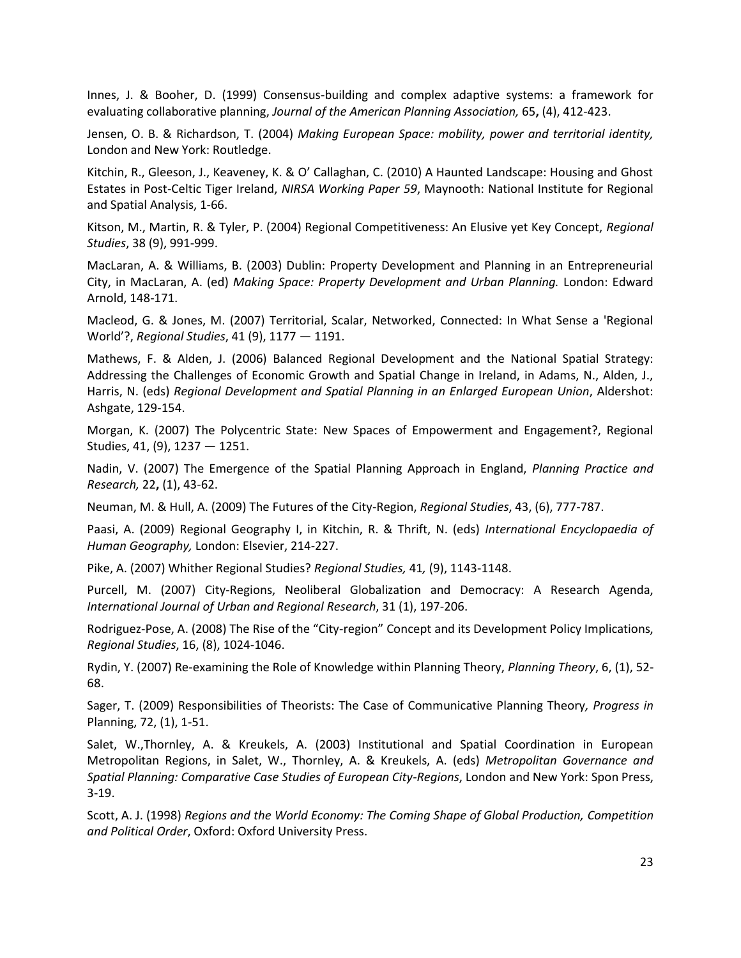Innes, J. & Booher, D. (1999) Consensus-building and complex adaptive systems: a framework for evaluating collaborative planning, *Journal of the American Planning Association,* 65**,** (4), 412-423.

Jensen, O. B. & Richardson, T. (2004) *Making European Space: mobility, power and territorial identity,*  London and New York: Routledge.

Kitchin, R., Gleeson, J., Keaveney, K. & O' Callaghan, C. (2010) A Haunted Landscape: Housing and Ghost Estates in Post-Celtic Tiger Ireland, *NIRSA Working Paper 59*, Maynooth: National Institute for Regional and Spatial Analysis, 1-66.

Kitson, M., Martin, R. & Tyler, P. (2004) Regional Competitiveness: An Elusive yet Key Concept, *Regional Studies*, 38 (9), 991-999.

MacLaran, A. & Williams, B. (2003) Dublin: Property Development and Planning in an Entrepreneurial City, in MacLaran, A. (ed) *Making Space: Property Development and Urban Planning.* London: Edward Arnold, 148-171.

Macleod, G. & Jones, M. (2007) Territorial, Scalar, Networked, Connected: In What Sense a 'Regional World'?, *Regional Studies*, 41 (9), 1177 — 1191.

Mathews, F. & Alden, J. (2006) Balanced Regional Development and the National Spatial Strategy: Addressing the Challenges of Economic Growth and Spatial Change in Ireland, in Adams, N., Alden, J., Harris, N. (eds) *Regional Development and Spatial Planning in an Enlarged European Union*, Aldershot: Ashgate, 129-154.

Morgan, K. (2007) The Polycentric State: New Spaces of Empowerment and Engagement?, Regional Studies, 41, (9), 1237 — 1251.

Nadin, V. (2007) The Emergence of the Spatial Planning Approach in England, *Planning Practice and Research,* 22**,** (1), 43-62.

Neuman, M. & Hull, A. (2009) The Futures of the City-Region, *Regional Studies*, 43, (6), 777-787.

Paasi, A. (2009) Regional Geography I, in Kitchin, R. & Thrift, N. (eds) *International Encyclopaedia of Human Geography,* London: Elsevier, 214-227.

Pike, A. (2007) Whither Regional Studies? *Regional Studies,* 41*,* (9), 1143-1148.

Purcell, M. (2007) City-Regions, Neoliberal Globalization and Democracy: A Research Agenda, *International Journal of Urban and Regional Research*, 31 (1), 197-206.

Rodriguez-Pose, A. (2008) The Rise of the "City-region" Concept and its Development Policy Implications, *Regional Studies*, 16, (8), 1024-1046.

Rydin, Y. (2007) Re-examining the Role of Knowledge within Planning Theory, *Planning Theory*, 6, (1), 52- 68.

Sager, T. (2009) Responsibilities of Theorists: The Case of Communicative Planning Theory*, Progress in*  Planning, 72, (1), 1-51.

Salet, W.,Thornley, A. & Kreukels, A. (2003) Institutional and Spatial Coordination in European Metropolitan Regions, in Salet, W., Thornley, A. & Kreukels, A. (eds) *Metropolitan Governance and Spatial Planning: Comparative Case Studies of European City-Regions*, London and New York: Spon Press, 3-19.

Scott, A. J. (1998) *Regions and the World Economy: The Coming Shape of Global Production, Competition and Political Order*, Oxford: Oxford University Press.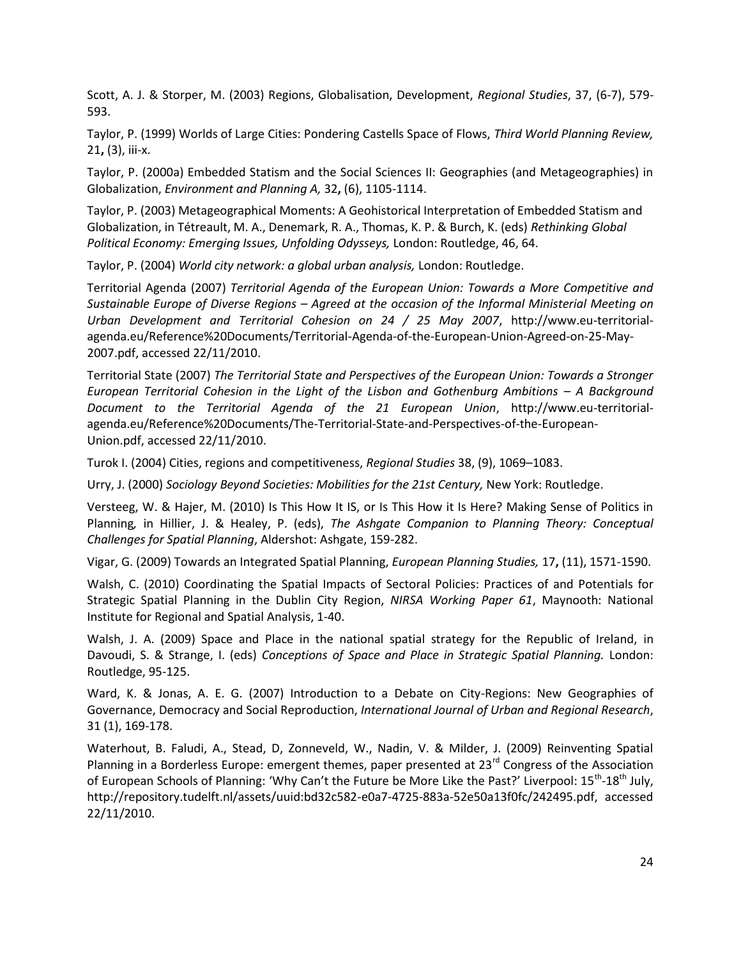Scott, A. J. & Storper, M. (2003) Regions, Globalisation, Development, *Regional Studies*, 37, (6-7), 579- 593.

Taylor, P. (1999) Worlds of Large Cities: Pondering Castells Space of Flows, *Third World Planning Review,* 21**,** (3), iii-x.

Taylor, P. (2000a) Embedded Statism and the Social Sciences II: Geographies (and Metageographies) in Globalization, *Environment and Planning A,* 32**,** (6), 1105-1114.

Taylor, P. (2003) Metageographical Moments: A Geohistorical Interpretation of Embedded Statism and Globalization, in Tétreault, M. A., Denemark, R. A., Thomas, K. P. & Burch, K. (eds) *Rethinking Global Political Economy: Emerging Issues, Unfolding Odysseys,* London: Routledge, 46, 64.

Taylor, P. (2004) *World city network: a global urban analysis,* London: Routledge.

Territorial Agenda (2007) *Territorial Agenda of the European Union: Towards a More Competitive and Sustainable Europe of Diverse Regions – Agreed at the occasion of the Informal Ministerial Meeting on Urban Development and Territorial Cohesion on 24 / 25 May 2007*, http://www.eu-territorialagenda.eu/Reference%20Documents/Territorial-Agenda-of-the-European-Union-Agreed-on-25-May-2007.pdf, accessed 22/11/2010.

Territorial State (2007) *The Territorial State and Perspectives of the European Union: Towards a Stronger European Territorial Cohesion in the Light of the Lisbon and Gothenburg Ambitions – A Background Document to the Territorial Agenda of the 21 European Union*, http://www.eu-territorialagenda.eu/Reference%20Documents/The-Territorial-State-and-Perspectives-of-the-European-Union.pdf, accessed 22/11/2010.

Turok I. (2004) Cities, regions and competitiveness, *Regional Studies* 38, (9), 1069–1083.

Urry, J. (2000) *Sociology Beyond Societies: Mobilities for the 21st Century,* New York: Routledge.

Versteeg, W. & Hajer, M. (2010) Is This How It IS, or Is This How it Is Here? Making Sense of Politics in Planning*,* in Hillier, J. & Healey, P. (eds), *The Ashgate Companion to Planning Theory: Conceptual Challenges for Spatial Planning*, Aldershot: Ashgate, 159-282.

Vigar, G. (2009) Towards an Integrated Spatial Planning, *European Planning Studies,* 17**,** (11), 1571-1590.

Walsh, C. (2010) Coordinating the Spatial Impacts of Sectoral Policies: Practices of and Potentials for Strategic Spatial Planning in the Dublin City Region, *NIRSA Working Paper 61*, Maynooth: National Institute for Regional and Spatial Analysis, 1-40.

Walsh, J. A. (2009) Space and Place in the national spatial strategy for the Republic of Ireland, in Davoudi, S. & Strange, I. (eds) *Conceptions of Space and Place in Strategic Spatial Planning.* London: Routledge, 95-125.

Ward, K. & Jonas, A. E. G. (2007) Introduction to a Debate on City-Regions: New Geographies of Governance, Democracy and Social Reproduction, *International Journal of Urban and Regional Research*, 31 (1), 169-178.

Waterhout, B. Faludi, A., Stead, D, Zonneveld, W., Nadin, V. & Milder, J. (2009) Reinventing Spatial Planning in a Borderless Europe: emergent themes, paper presented at 23<sup>rd</sup> Congress of the Association of European Schools of Planning: 'Why Can't the Future be More Like the Past?' Liverpool: 15<sup>th</sup>-18<sup>th</sup> July, http://repository.tudelft.nl/assets/uuid:bd32c582-e0a7-4725-883a-52e50a13f0fc/242495.pdf, accessed 22/11/2010.